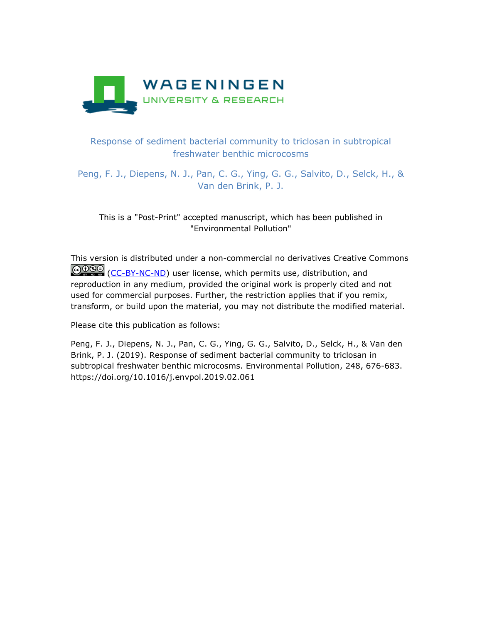

## Response of sediment bacterial community to triclosan in subtropical freshwater benthic microcosms

Peng, F. J., Diepens, N. J., Pan, C. G., Ying, G. G., Salvito, D., Selck, H., & Van den Brink, P. J.

This is a "Post-Print" accepted manuscript, which has been published in "Environmental Pollution"

This version is distributed under a non-commercial no derivatives Creative Commons COSO [\(CC-BY-NC-ND\)](https://creativecommons.org/licenses/by-nc-nd/4.0/) user license, which permits use, distribution, and reproduction in any medium, provided the original work is properly cited and not used for commercial purposes. Further, the restriction applies that if you remix, transform, or build upon the material, you may not distribute the modified material.

Please cite this publication as follows:

Peng, F. J., Diepens, N. J., Pan, C. G., Ying, G. G., Salvito, D., Selck, H., & Van den Brink, P. J. (2019). Response of sediment bacterial community to triclosan in subtropical freshwater benthic microcosms. Environmental Pollution, 248, 676-683. https://doi.org/10.1016/j.envpol.2019.02.061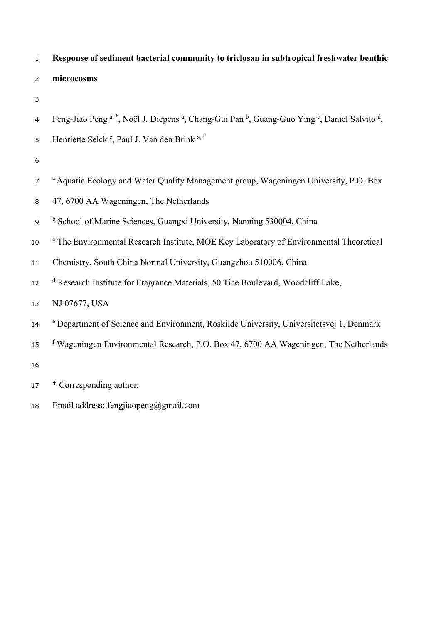# **Response of sediment bacterial community to triclosan in subtropical freshwater benthic microcosms**

- 
- 4 Feng-Jiao Peng<sup>a, \*</sup>, Noël J. Diepens<sup>a</sup>, Chang-Gui Pan<sup>b</sup>, Guang-Guo Ying<sup>c</sup>, Daniel Salvito<sup>d</sup>,

| 5 | Henriette Selck <sup>e</sup> , Paul J. Van den Brink a, f |  |  |  |  |  |  |
|---|-----------------------------------------------------------|--|--|--|--|--|--|
|---|-----------------------------------------------------------|--|--|--|--|--|--|

- 
- <sup>a</sup> Aquatic Ecology and Water Quality Management group, Wageningen University, P.O. Box
- 47, 6700 AA Wageningen, The Netherlands
- <sup>b</sup> School of Marine Sciences, Guangxi University, Nanning 530004, China
- <sup>c</sup> The Environmental Research Institute, MOE Key Laboratory of Environmental Theoretical
- Chemistry, South China Normal University, Guangzhou 510006, China
- 12 <sup>d</sup> Research Institute for Fragrance Materials, 50 Tice Boulevard, Woodcliff Lake,
- NJ 07677, USA
- <sup>e</sup> Department of Science and Environment, Roskilde University, Universitetsvej 1, Denmark
- <sup>f</sup> Wageningen Environmental Research, P.O. Box 47, 6700 AA Wageningen, The Netherlands
- 
- \* Corresponding author.
- Email address: [fengjiaopeng@gmail.com](mailto:fengjiaopeng@gmail.com)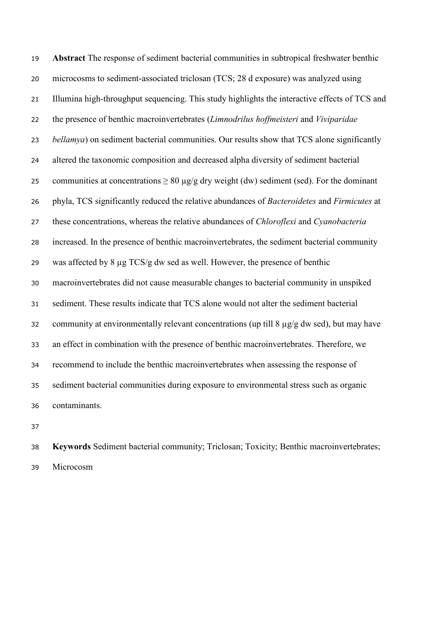**Abstract** The response of sediment bacterial communities in subtropical freshwater benthic microcosms to sediment-associated triclosan (TCS; 28 d exposure) was analyzed using Illumina high-throughput sequencing. This study highlights the interactive effects of TCS and the presence of benthic macroinvertebrates (*Limnodrilus hoffmeisteri* and *Viviparidae bellamya*) on sediment bacterial communities. Our results show that TCS alone significantly altered the taxonomic composition and decreased alpha diversity of sediment bacterial 25 communities at concentrations  $\geq 80 \mu g/g$  dry weight (dw) sediment (sed). For the dominant phyla, TCS significantly reduced the relative abundances of *Bacteroidetes* and *Firmicutes* at these concentrations, whereas the relative abundances of *Chloroflexi* and *Cyanobacteria* increased. In the presence of benthic macroinvertebrates, the sediment bacterial community was affected by 8 µg TCS/g dw sed as well. However, the presence of benthic macroinvertebrates did not cause measurable changes to bacterial community in unspiked sediment. These results indicate that TCS alone would not alter the sediment bacterial community at environmentally relevant concentrations (up till 8 µg/g dw sed), but may have an effect in combination with the presence of benthic macroinvertebrates. Therefore, we recommend to include the benthic macroinvertebrates when assessing the response of sediment bacterial communities during exposure to environmental stress such as organic contaminants.

 **Keywords** Sediment bacterial community; Triclosan; Toxicity; Benthic macroinvertebrates; Microcosm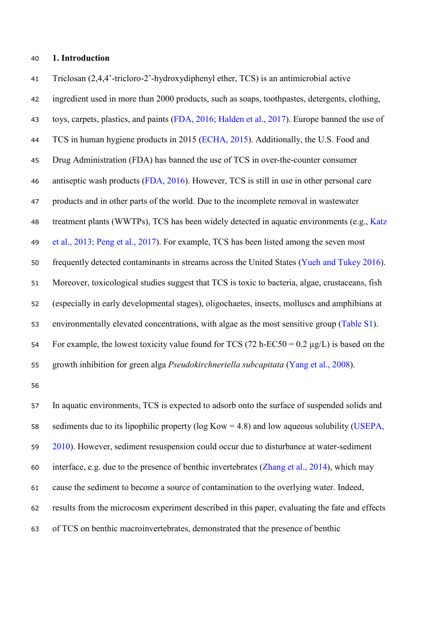#### **1. Introduction**

 Triclosan (2,4,4'-tricloro-2'-hydroxydiphenyl ether, TCS) is an antimicrobial active ingredient used in more than 2000 products, such as soaps, toothpastes, detergents, clothing, toys, carpets, plastics, and paints (FDA, 2016; Halden et al., 2017). Europe banned the use of 44 TCS in human hygiene products in 2015 (ECHA, 2015). Additionally, the U.S. Food and Drug Administration (FDA) has banned the use of TCS in over-the-counter consumer antiseptic wash products (FDA, 2016). However, TCS is still in use in other personal care products and in other parts of the world. Due to the incomplete removal in wastewater 48 treatment plants (WWTPs), TCS has been widely detected in aquatic environments (e.g., Katz et al., 2013; Peng et al., 2017). For example, TCS has been listed among the seven most frequently detected contaminants in streams across the United States (Yueh and Tukey 2016). Moreover, toxicological studies suggest that TCS is toxic to bacteria, algae, crustaceans, fish (especially in early developmental stages), oligochaetes, insects, molluscs and amphibians at environmentally elevated concentrations, with algae as the most sensitive group (Table S1). 54 For example, the lowest toxicity value found for TCS (72 h-EC50 =  $0.2 \mu g/L$ ) is based on the growth inhibition for green alga *Pseudokirchneriella subcapitata* (Yang et al., 2008).

 In aquatic environments, TCS is expected to adsorb onto the surface of suspended solids and 58 sediments due to its lipophilic property (log  $Kow = 4.8$ ) and low aqueous solubility (USEPA, 2010). However, sediment resuspension could occur due to disturbance at water-sediment interface, e.g. due to the presence of benthic invertebrates (Zhang et al., 2014), which may cause the sediment to become a source of contamination to the overlying water. Indeed, results from the microcosm experiment described in this paper, evaluating the fate and effects of TCS on benthic macroinvertebrates, demonstrated that the presence of benthic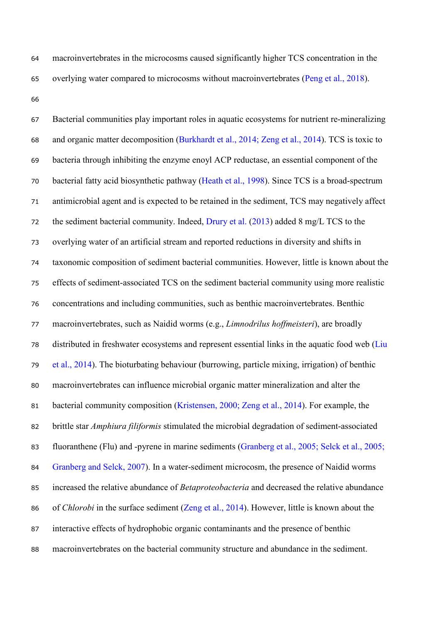- macroinvertebrates in the microcosms caused significantly higher TCS concentration in the overlying water compared to microcosms without macroinvertebrates (Peng et al., 2018).
- 

 Bacterial communities play important roles in aquatic ecosystems for nutrient re-mineralizing and organic matter decomposition (Burkhardt et al., 2014; Zeng et al., 2014). TCS is toxic to bacteria through inhibiting the enzyme enoyl ACP reductase, an essential component of the bacterial fatty acid biosynthetic pathway (Heath et al., 1998). Since TCS is a broad-spectrum antimicrobial agent and is expected to be retained in the sediment, TCS may negatively affect 72 the sediment bacterial community. Indeed, Drury et al. (2013) added 8 mg/L TCS to the overlying water of an artificial stream and reported reductions in diversity and shifts in taxonomic composition of sediment bacterial communities. However, little is known about the effects of sediment-associated TCS on the sediment bacterial community using more realistic concentrations and including communities, such as benthic macroinvertebrates. Benthic macroinvertebrates, such as Naidid worms (e.g., *Limnodrilus hoffmeisteri*), are broadly distributed in freshwater ecosystems and represent essential links in the aquatic food web (Liu et al., 2014). The bioturbating behaviour (burrowing, particle mixing, irrigation) of benthic macroinvertebrates can influence microbial organic matter mineralization and alter the 81 bacterial community composition (Kristensen, 2000; Zeng et al., 2014). For example, the brittle star *Amphiura filiformis* stimulated the microbial degradation of sediment-associated fluoranthene (Flu) and -pyrene in marine sediments (Granberg et al., 2005; Selck et al., 2005; 84 Granberg and Selck, 2007). In a water-sediment microcosm, the presence of Naidid worms increased the relative abundance of *Betaproteobacteria* and decreased the relative abundance of *Chlorobi* in the surface sediment (Zeng et al., 2014). However, little is known about the interactive effects of hydrophobic organic contaminants and the presence of benthic macroinvertebrates on the bacterial community structure and abundance in the sediment.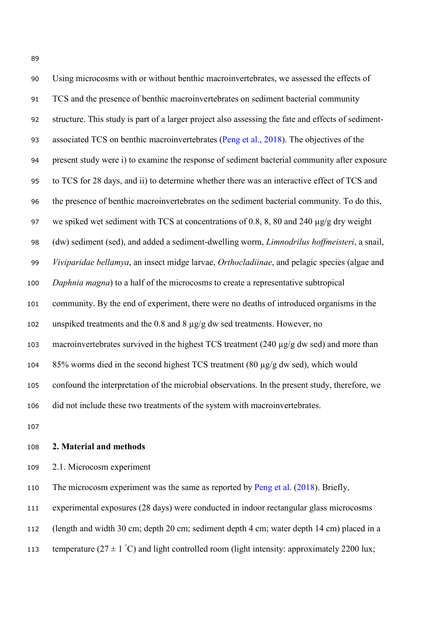| 90  | Using microcosms with or without benthic macroinvertebrates, we assessed the effects of               |
|-----|-------------------------------------------------------------------------------------------------------|
| 91  | TCS and the presence of benthic macroinvertebrates on sediment bacterial community                    |
| 92  | structure. This study is part of a larger project also assessing the fate and effects of sediment-    |
| 93  | associated TCS on benthic macroinvertebrates (Peng et al., 2018). The objectives of the               |
| 94  | present study were i) to examine the response of sediment bacterial community after exposure          |
| 95  | to TCS for 28 days, and ii) to determine whether there was an interactive effect of TCS and           |
| 96  | the presence of benthic macroinvertebrates on the sediment bacterial community. To do this,           |
| 97  | we spiked wet sediment with TCS at concentrations of 0.8, 8, 80 and 240 µg/g dry weight               |
| 98  | (dw) sediment (sed), and added a sediment-dwelling worm, <i>Limnodrilus hoffmeisteri</i> , a snail,   |
| 99  | Viviparidae bellamya, an insect midge larvae, Orthocladiinae, and pelagic species (algae and          |
| 100 | Daphnia magna) to a half of the microcosms to create a representative subtropical                     |
| 101 | community. By the end of experiment, there were no deaths of introduced organisms in the              |
| 102 | unspiked treatments and the 0.8 and 8 $\mu$ g/g dw sed treatments. However, no                        |
| 103 | macroinvertebrates survived in the highest TCS treatment $(240 \mu g/g dw \text{ sed})$ and more than |
| 104 | 85% worms died in the second highest TCS treatment (80 µg/g dw sed), which would                      |
| 105 | confound the interpretation of the microbial observations. In the present study, therefore, we        |
| 106 | did not include these two treatments of the system with macroinvertebrates.                           |

#### **2. Material and methods**

2.1. Microcosm experiment

110 The microcosm experiment was the same as reported by Peng et al. (2018). Briefly,

experimental exposures (28 days) were conducted in indoor rectangular glass microcosms

(length and width 30 cm; depth 20 cm; sediment depth 4 cm; water depth 14 cm) placed in a

temperature (27  $\pm$  1 °C) and light controlled room (light intensity: approximately 2200 lux;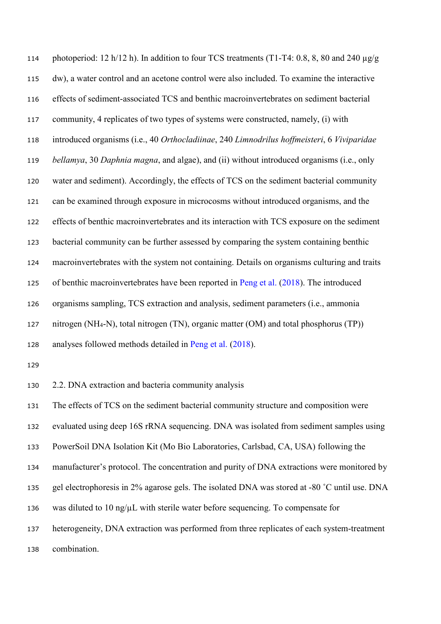photoperiod: 12 h/12 h). In addition to four TCS treatments (T1-T4: 0.8, 8, 80 and 240 µg/g dw), a water control and an acetone control were also included. To examine the interactive effects of sediment-associated TCS and benthic macroinvertebrates on sediment bacterial community, 4 replicates of two types of systems were constructed, namely, (i) with introduced organisms (i.e., 40 *Orthocladiinae*, 240 *Limnodrilus hoffmeisteri*, 6 *Viviparidae bellamya*, 30 *Daphnia magna*, and algae), and (ii) without introduced organisms (i.e., only water and sediment). Accordingly, the effects of TCS on the sediment bacterial community can be examined through exposure in microcosms without introduced organisms, and the effects of benthic macroinvertebrates and its interaction with TCS exposure on the sediment bacterial community can be further assessed by comparing the system containing benthic macroinvertebrates with the system not containing. Details on organisms culturing and traits of benthic macroinvertebrates have been reported in Peng et al. (2018). The introduced organisms sampling, TCS extraction and analysis, sediment parameters (i.e., ammonia nitrogen (NH4-N), total nitrogen (TN), organic matter (OM) and total phosphorus (TP)) analyses followed methods detailed in Peng et al. (2018).

2.2. DNA extraction and bacteria community analysis

 The effects of TCS on the sediment bacterial community structure and composition were evaluated using deep 16S rRNA sequencing. DNA was isolated from sediment samples using PowerSoil DNA Isolation Kit (Mo Bio Laboratories, Carlsbad, CA, USA) following the manufacturer's protocol. The concentration and purity of DNA extractions were monitored by gel electrophoresis in 2% agarose gels. The isolated DNA was stored at -80 ˚C until use. DNA 136 was diluted to 10 ng/ $\mu$ L with sterile water before sequencing. To compensate for heterogeneity, DNA extraction was performed from three replicates of each system-treatment combination.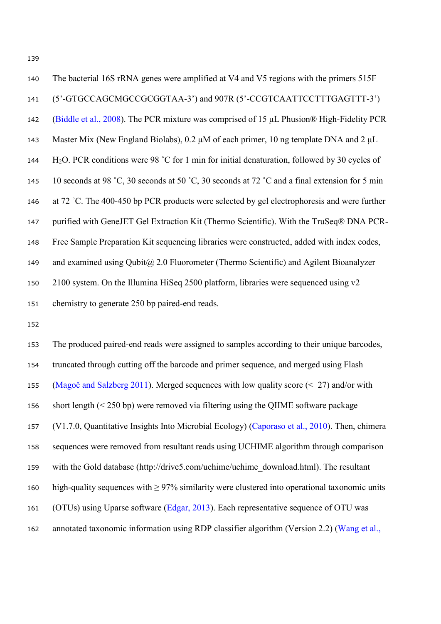| 140 | The bacterial 16S rRNA genes were amplified at V4 and V5 regions with the primers 515F                   |
|-----|----------------------------------------------------------------------------------------------------------|
| 141 | (5'-GTGCCAGCMGCCGCGGTAA-3') and 907R (5'-CCGTCAATTCCTTTGAGTTT-3')                                        |
| 142 | (Biddle et al., 2008). The PCR mixture was comprised of 15 µL Phusion® High-Fidelity PCR                 |
| 143 | Master Mix (New England Biolabs), 0.2 $\mu$ M of each primer, 10 ng template DNA and 2 $\mu$ L           |
| 144 | H <sub>2</sub> O. PCR conditions were 98 °C for 1 min for initial denaturation, followed by 30 cycles of |
| 145 | 10 seconds at 98 °C, 30 seconds at 50 °C, 30 seconds at 72 °C and a final extension for 5 min            |
| 146 | at 72 °C. The 400-450 bp PCR products were selected by gel electrophoresis and were further              |
| 147 | purified with GeneJET Gel Extraction Kit (Thermo Scientific). With the TruSeq® DNA PCR-                  |
| 148 | Free Sample Preparation Kit sequencing libraries were constructed, added with index codes,               |
| 149 | and examined using $Qubit@$ 2.0 Fluorometer (Thermo Scientific) and Agilent Bioanalyzer                  |
| 150 | 2100 system. On the Illumina HiSeq 2500 platform, libraries were sequenced using $v2$                    |
| 151 | chemistry to generate 250 bp paired-end reads.                                                           |

 The produced paired-end reads were assigned to samples according to their unique barcodes, truncated through cutting off the barcode and primer sequence, and merged using Flash (Magoč and Salzberg 2011). Merged sequences with low quality score (< 27) and/or with short length (< 250 bp) were removed via filtering using the QIIME software package (V1.7.0, Quantitative Insights Into Microbial Ecology) (Caporaso et al., 2010). Then, chimera sequences were removed from resultant reads using UCHIME algorithm through comparison with the Gold database ([http://drive5.com/uchime/uchime\\_download.html](http://drive5.com/uchime/uchime_download.html)). The resultant high-quality sequences with ≥ 97% similarity were clustered into operational taxonomic units (OTUs) using Uparse software (Edgar, 2013). Each representative sequence of OTU was annotated taxonomic information using RDP classifier algorithm (Version 2.2) (Wang et al.,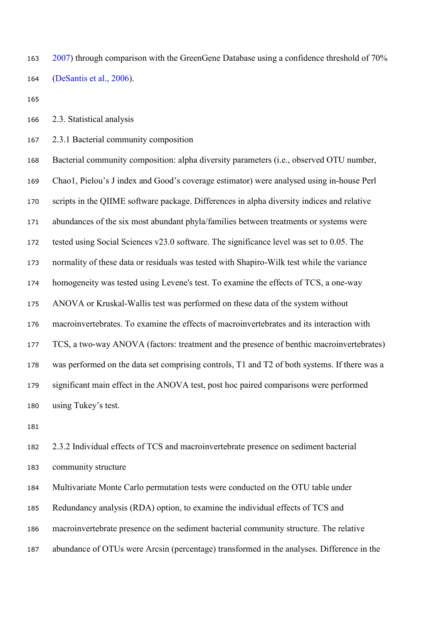163 2007) through comparison with the GreenGene Database using a confidence threshold of 70% (DeSantis et al., 2006).

2.3. Statistical analysis

2.3.1 Bacterial community composition

 Bacterial community composition: alpha diversity parameters (i.e., observed OTU number, Chao1, Pielou's J index and Good's coverage estimator) were analysed using in-house Perl scripts in the QIIME software package. Differences in alpha diversity indices and relative abundances of the six most abundant phyla/families between treatments or systems were tested using Social Sciences v23.0 software. The significance level was set to 0.05. The normality of these data or residuals was tested with Shapiro-Wilk test while the variance homogeneity was tested using Levene's test. To examine the effects of TCS, a one-way ANOVA or Kruskal-Wallis test was performed on these data of the system without macroinvertebrates. To examine the effects of macroinvertebrates and its interaction with TCS, a two-way ANOVA (factors: treatment and the presence of benthic macroinvertebrates) was performed on the data set comprising controls, T1 and T2 of both systems. If there was a significant main effect in the ANOVA test, post hoc paired comparisons were performed using Tukey's test.

 2.3.2 Individual effects of TCS and macroinvertebrate presence on sediment bacterial community structure

 Multivariate Monte Carlo permutation tests were conducted on the OTU table under Redundancy analysis (RDA) option, to examine the individual effects of TCS and macroinvertebrate presence on the sediment bacterial community structure. The relative abundance of OTUs were Arcsin (percentage) transformed in the analyses. Difference in the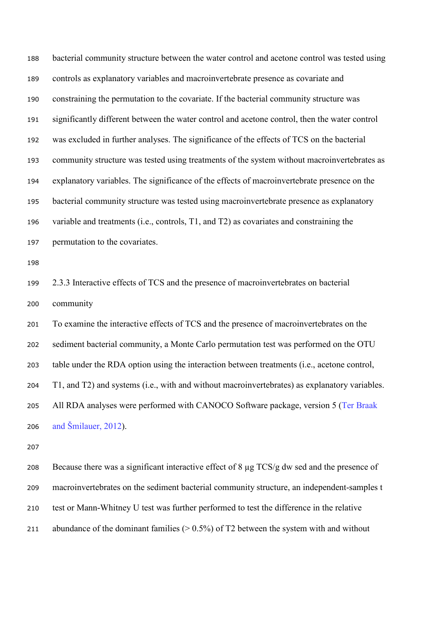| 188 | bacterial community structure between the water control and acetone control was tested using  |
|-----|-----------------------------------------------------------------------------------------------|
| 189 | controls as explanatory variables and macroinvertebrate presence as covariate and             |
| 190 | constraining the permutation to the covariate. If the bacterial community structure was       |
| 191 | significantly different between the water control and acetone control, then the water control |
| 192 | was excluded in further analyses. The significance of the effects of TCS on the bacterial     |
| 193 | community structure was tested using treatments of the system without macroinvertebrates as   |
| 194 | explanatory variables. The significance of the effects of macroinvertebrate presence on the   |
| 195 | bacterial community structure was tested using macroinvertebrate presence as explanatory      |
| 196 | variable and treatments (i.e., controls, T1, and T2) as covariates and constraining the       |
| 197 | permutation to the covariates.                                                                |
| 198 |                                                                                               |
| 199 | 2.3.3 Interactive effects of TCS and the presence of macroinvertebrates on bacterial          |
| 200 | community                                                                                     |
| 201 | To examine the interactive effects of TCS and the presence of macroinvertebrates on the       |
| 202 | sediment bacterial community, a Monte Carlo permutation test was performed on the OTU         |
| 203 | table under the RDA option using the interaction between treatments (i.e., acetone control,   |
| 204 | T1, and T2) and systems (i.e., with and without macroinvertebrates) as explanatory variables. |
| 205 | All RDA analyses were performed with CANOCO Software package, version 5 (Ter Braak            |
| 206 | and Šmilauer, 2012).                                                                          |

 Because there was a significant interactive effect of 8 µg TCS/g dw sed and the presence of macroinvertebrates on the sediment bacterial community structure, an independent-samples t test or Mann-Whitney U test was further performed to test the difference in the relative 211 abundance of the dominant families  $(> 0.5\%)$  of T2 between the system with and without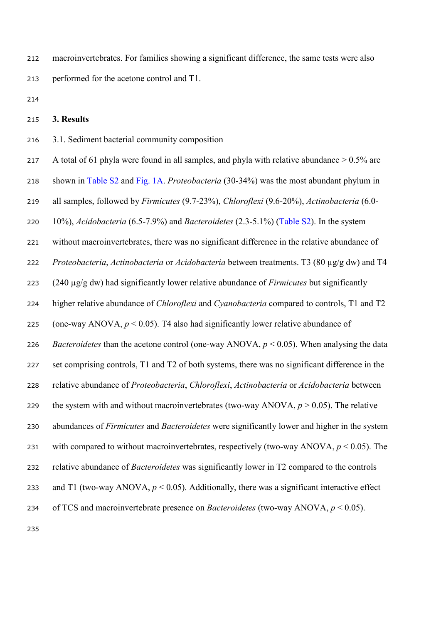macroinvertebrates. For families showing a significant difference, the same tests were also performed for the acetone control and T1.

### **3. Results**

3.1. Sediment bacterial community composition

217 A total of 61 phyla were found in all samples, and phyla with relative abundance  $> 0.5\%$  are shown in Table S2 and Fig. 1A. *Proteobacteria* (30-34%) was the most abundant phylum in all samples, followed by *Firmicutes* (9.7-23%), *Chloroflexi* (9.6-20%), *Actinobacteria* (6.0- 10%), *Acidobacteria* (6.5-7.9%) and *Bacteroidetes* (2.3-5.1%) (Table S2). In the system without macroinvertebrates, there was no significant difference in the relative abundance of *Proteobacteria*, *Actinobacteria* or *Acidobacteria* between treatments. T3 (80 µg/g dw) and T4 (240 µg/g dw) had significantly lower relative abundance of *Firmicutes* but significantly higher relative abundance of *Chloroflexi* and *Cyanobacteria* compared to controls, T1 and T2 225 (one-way ANOVA,  $p < 0.05$ ). T4 also had significantly lower relative abundance of *Bacteroidetes* than the acetone control (one-way ANOVA, *p* < 0.05). When analysing the data set comprising controls, T1 and T2 of both systems, there was no significant difference in the relative abundance of *Proteobacteria*, *Chloroflexi*, *Actinobacteria* or *Acidobacteria* between 229 the system with and without macroinvertebrates (two-way ANOVA,  $p > 0.05$ ). The relative abundances of *Firmicutes* and *Bacteroidetes* were significantly lower and higher in the system with compared to without macroinvertebrates, respectively (two-way ANOVA, *p* < 0.05). The relative abundance of *Bacteroidetes* was significantly lower in T2 compared to the controls 233 and T1 (two-way ANOVA,  $p < 0.05$ ). Additionally, there was a significant interactive effect of TCS and macroinvertebrate presence on *Bacteroidetes* (two-way ANOVA, *p* < 0.05).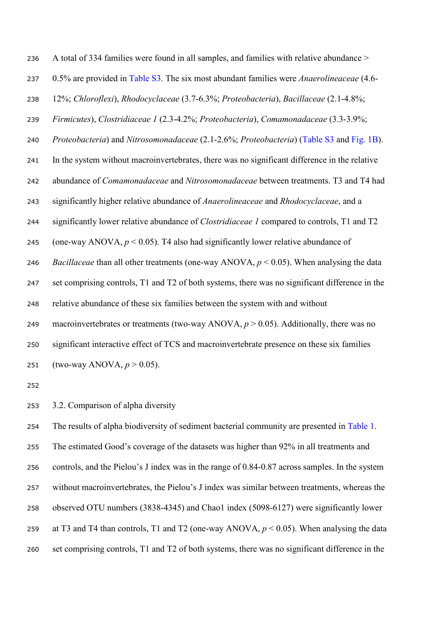| 236 | A total of 334 families were found in all samples, and families with relative abundance >          |
|-----|----------------------------------------------------------------------------------------------------|
| 237 | 0.5% are provided in Table S3. The six most abundant families were <i>Anaerolineaceae</i> (4.6-    |
| 238 | 12%; Chloroflexi), Rhodocyclaceae (3.7-6.3%; Proteobacteria), Bacillaceae (2.1-4.8%;               |
| 239 | Firmicutes), Clostridiaceae 1 (2.3-4.2%; Proteobacteria), Comamonadaceae (3.3-3.9%;                |
| 240 | Proteobacteria) and Nitrosomonadaceae (2.1-2.6%; Proteobacteria) (Table S3 and Fig. 1B).           |
| 241 | In the system without macroinvertebrates, there was no significant difference in the relative      |
| 242 | abundance of <i>Comamonadaceae</i> and <i>Nitrosomonadaceae</i> between treatments. T3 and T4 had  |
| 243 | significantly higher relative abundance of Anaerolineaceae and Rhodocyclaceae, and a               |
| 244 | significantly lower relative abundance of <i>Clostridiaceae 1</i> compared to controls, T1 and T2  |
| 245 | (one-way ANOVA, $p < 0.05$ ). T4 also had significantly lower relative abundance of                |
| 246 | <i>Bacillaceae</i> than all other treatments (one-way ANOVA, $p < 0.05$ ). When analysing the data |
| 247 | set comprising controls, T1 and T2 of both systems, there was no significant difference in the     |
| 248 | relative abundance of these six families between the system with and without                       |
| 249 | macroinvertebrates or treatments (two-way ANOVA, $p > 0.05$ ). Additionally, there was no          |
| 250 | significant interactive effect of TCS and macroinvertebrate presence on these six families         |
| 251 | (two-way ANOVA, $p > 0.05$ ).                                                                      |
|     |                                                                                                    |

3.2. Comparison of alpha diversity

 The results of alpha biodiversity of sediment bacterial community are presented in Table 1. The estimated Good's coverage of the datasets was higher than 92% in all treatments and controls, and the Pielou's J index was in the range of 0.84-0.87 across samples. In the system without macroinvertebrates, the Pielou's J index was similar between treatments, whereas the observed OTU numbers (3838-4345) and Chao1 index (5098-6127) were significantly lower at T3 and T4 than controls, T1 and T2 (one-way ANOVA, *p* < 0.05). When analysing the data set comprising controls, T1 and T2 of both systems, there was no significant difference in the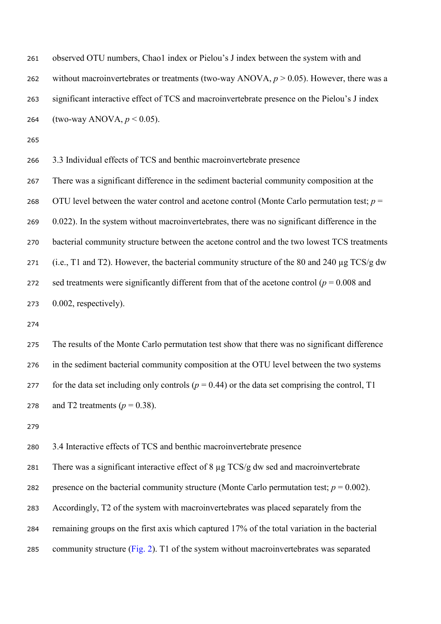| 261 | observed OTU numbers, Chao1 index or Pielou's J index between the system with and            |
|-----|----------------------------------------------------------------------------------------------|
| 262 | without macroinvertebrates or treatments (two-way ANOVA, $p > 0.05$ ). However, there was a  |
| 263 | significant interactive effect of TCS and macroinvertebrate presence on the Pielou's J index |
| 264 | (two-way ANOVA, $p < 0.05$ ).                                                                |
| 265 |                                                                                              |
| 266 | 3.3 Individual effects of TCS and benthic macroinvertebrate presence                         |
| 267 | There was a significant difference in the sediment bacterial community composition at the    |
| 268 | OTU level between the water control and acetone control (Monte Carlo permutation test; $p =$ |

 0.022). In the system without macroinvertebrates, there was no significant difference in the bacterial community structure between the acetone control and the two lowest TCS treatments 271 (i.e., T1 and T2). However, the bacterial community structure of the 80 and 240 µg TCS/g dw 272 sed treatments were significantly different from that of the acetone control ( $p = 0.008$  and 0.002, respectively).

 The results of the Monte Carlo permutation test show that there was no significant difference in the sediment bacterial community composition at the OTU level between the two systems 277 for the data set including only controls ( $p = 0.44$ ) or the data set comprising the control, T1 278 and T2 treatments  $(p = 0.38)$ .

3.4 Interactive effects of TCS and benthic macroinvertebrate presence

 There was a significant interactive effect of 8 µg TCS/g dw sed and macroinvertebrate 282 presence on the bacterial community structure (Monte Carlo permutation test;  $p = 0.002$ ). Accordingly, T2 of the system with macroinvertebrates was placed separately from the remaining groups on the first axis which captured 17% of the total variation in the bacterial 285 community structure (Fig. 2). T1 of the system without macroinvertebrates was separated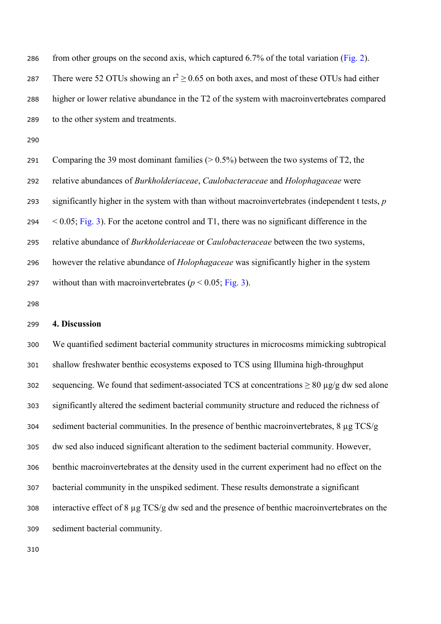286 from other groups on the second axis, which captured  $6.7\%$  of the total variation (Fig. 2). 287 There were 52 OTUs showing an  $r^2 > 0.65$  on both axes, and most of these OTUs had either higher or lower relative abundance in the T2 of the system with macroinvertebrates compared to the other system and treatments.

 Comparing the 39 most dominant families (> 0.5%) between the two systems of T2, the relative abundances of *Burkholderiaceae*, *Caulobacteraceae* and *Holophagaceae* were significantly higher in the system with than without macroinvertebrates (independent t tests, *p*  $294 \leq 0.05$ ; Fig. 3). For the acetone control and T1, there was no significant difference in the relative abundance of *Burkholderiaceae* or *Caulobacteraceae* between the two systems, however the relative abundance of *Holophagaceae* was significantly higher in the system 297 without than with macroinvertebrates  $(p < 0.05;$  Fig. 3).

#### **4. Discussion**

 We quantified sediment bacterial community structures in microcosms mimicking subtropical shallow freshwater benthic ecosystems exposed to TCS using Illumina high-throughput 302 sequencing. We found that sediment-associated TCS at concentrations  $\geq 80 \mu g/g$  dw sed alone significantly altered the sediment bacterial community structure and reduced the richness of sediment bacterial communities. In the presence of benthic macroinvertebrates, 8 µg TCS/g dw sed also induced significant alteration to the sediment bacterial community. However, benthic macroinvertebrates at the density used in the current experiment had no effect on the bacterial community in the unspiked sediment. These results demonstrate a significant interactive effect of 8 µg TCS/g dw sed and the presence of benthic macroinvertebrates on the sediment bacterial community.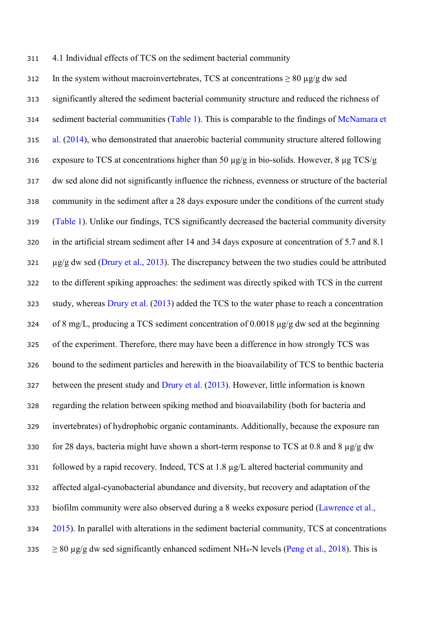4.1 Individual effects of TCS on the sediment bacterial community

312 In the system without macroinvertebrates, TCS at concentrations  $\geq 80 \mu g/g$  dw sed significantly altered the sediment bacterial community structure and reduced the richness of 314 sediment bacterial communities (Table 1). This is comparable to the findings of McNamara et al. (2014), who demonstrated that anaerobic bacterial community structure altered following 316 exposure to TCS at concentrations higher than 50  $\mu$ g/g in bio-solids. However, 8  $\mu$ g TCS/g dw sed alone did not significantly influence the richness, evenness or structure of the bacterial community in the sediment after a 28 days exposure under the conditions of the current study (Table 1). Unlike our findings, TCS significantly decreased the bacterial community diversity in the artificial stream sediment after 14 and 34 days exposure at concentration of 5.7 and 8.1  $\frac{1}{221}$   $\mu$ g/g dw sed (Drury et al., 2013). The discrepancy between the two studies could be attributed to the different spiking approaches: the sediment was directly spiked with TCS in the current 323 study, whereas Drury et al. (2013) added the TCS to the water phase to reach a concentration of 8 mg/L, producing a TCS sediment concentration of 0.0018 µg/g dw sed at the beginning of the experiment. Therefore, there may have been a difference in how strongly TCS was bound to the sediment particles and herewith in the bioavailability of TCS to benthic bacteria between the present study and Drury et al. (2013). However, little information is known regarding the relation between spiking method and bioavailability (both for bacteria and invertebrates) of hydrophobic organic contaminants. Additionally, because the exposure ran 330 for 28 days, bacteria might have shown a short-term response to TCS at 0.8 and 8  $\mu$ g/g dw followed by a rapid recovery. Indeed, TCS at 1.8 µg/L altered bacterial community and affected algal-cyanobacterial abundance and diversity, but recovery and adaptation of the biofilm community were also observed during a 8 weeks exposure period (Lawrence et al., 2015). In parallel with alterations in the sediment bacterial community, TCS at concentrations  $> 80 \mu$ g/g dw sed significantly enhanced sediment NH<sub>4</sub>-N levels (Peng et al., 2018). This is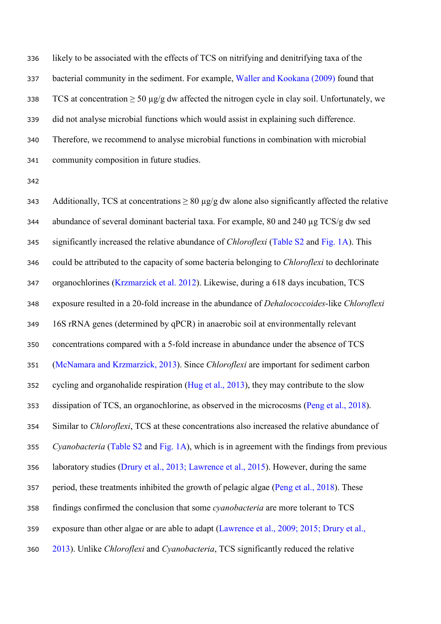likely to be associated with the effects of TCS on nitrifying and denitrifying taxa of the bacterial community in the sediment. For example, Waller and Kookana (2009) found that 338 TCS at concentration  $\geq 50 \mu g/g$  dw affected the nitrogen cycle in clay soil. Unfortunately, we did not analyse microbial functions which would assist in explaining such difference. Therefore, we recommend to analyse microbial functions in combination with microbial community composition in future studies.

343 Additionally, TCS at concentrations  $\geq 80 \mu g/g$  dw alone also significantly affected the relative abundance of several dominant bacterial taxa. For example, 80 and 240 µg TCS/g dw sed significantly increased the relative abundance of *Chloroflexi* (Table S2 and Fig. 1A). This could be attributed to the capacity of some bacteria belonging to *Chloroflexi* to dechlorinate organochlorines (Krzmarzick et al. 2012). Likewise, during a 618 days incubation, TCS exposure resulted in a 20-fold increase in the abundance of *Dehalococcoides*-like *Chloroflexi* 16S rRNA genes (determined by qPCR) in anaerobic soil at environmentally relevant concentrations compared with a 5-fold increase in abundance under the absence of TCS (McNamara and Krzmarzick, 2013). Since *Chloroflexi* are important for sediment carbon 352 cycling and organohalide respiration (Hug et al., 2013), they may contribute to the slow dissipation of TCS, an organochlorine, as observed in the microcosms (Peng et al., 2018). Similar to *Chloroflexi*, TCS at these concentrations also increased the relative abundance of *Cyanobacteria* (Table S2 and Fig. 1A), which is in agreement with the findings from previous laboratory studies (Drury et al., 2013; Lawrence et al., 2015). However, during the same period, these treatments inhibited the growth of pelagic algae (Peng et al., 2018). These findings confirmed the conclusion that some *cyanobacteria* are more tolerant to TCS exposure than other algae or are able to adapt (Lawrence et al., 2009; 2015; Drury et al., 2013). Unlike *Chloroflexi* and *Cyanobacteria*, TCS significantly reduced the relative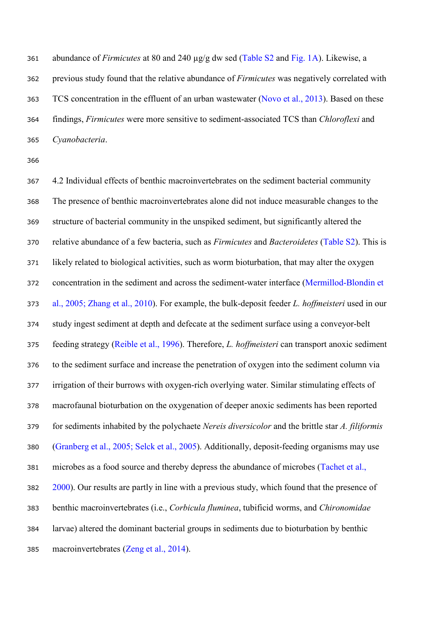abundance of *Firmicutes* at 80 and 240 µg/g dw sed (Table S2 and Fig. 1A). Likewise, a previous study found that the relative abundance of *Firmicutes* was negatively correlated with 363 TCS concentration in the effluent of an urban wastewater (Novo et al., 2013). Based on these findings, *Firmicutes* were more sensitive to sediment-associated TCS than *Chloroflexi* and *Cyanobacteria*.

 4.2 Individual effects of benthic macroinvertebrates on the sediment bacterial community The presence of benthic macroinvertebrates alone did not induce measurable changes to the structure of bacterial community in the unspiked sediment, but significantly altered the relative abundance of a few bacteria, such as *Firmicutes* and *Bacteroidetes* (Table S2). This is likely related to biological activities, such as worm bioturbation, that may alter the oxygen concentration in the sediment and across the sediment-water interface (Mermillod-Blondin et al., 2005; Zhang et al., 2010). For example, the bulk-deposit feeder *L. hoffmeisteri* used in our study ingest sediment at depth and defecate at the sediment surface using a conveyor-belt feeding strategy (Reible et al., 1996). Therefore, *L. hoffmeisteri* can transport anoxic sediment to the sediment surface and increase the penetration of oxygen into the sediment column via irrigation of their burrows with oxygen-rich overlying water. Similar stimulating effects of macrofaunal bioturbation on the oxygenation of deeper anoxic sediments has been reported for sediments inhabited by the polychaete *Nereis diversicolor* and the brittle star *A. filiformis* (Granberg et al., 2005; Selck et al., 2005). Additionally, deposit-feeding organisms may use microbes as a food source and thereby depress the abundance of microbes (Tachet et al., 2000). Our results are partly in line with a previous study, which found that the presence of benthic macroinvertebrates (i.e., *Corbicula fluminea*, tubificid worms, and *Chironomidae* larvae) altered the dominant bacterial groups in sediments due to bioturbation by benthic macroinvertebrates (Zeng et al., 2014).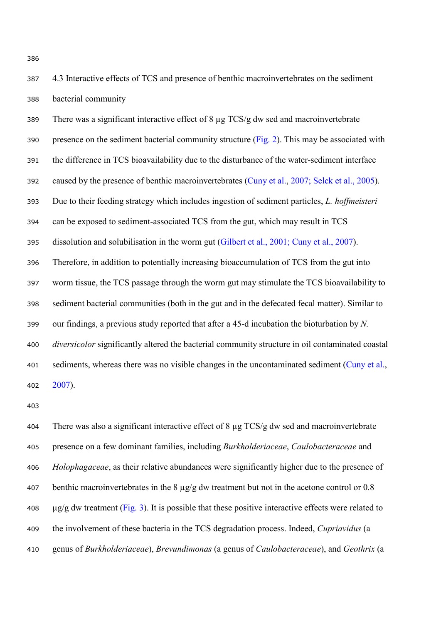4.3 Interactive effects of TCS and presence of benthic macroinvertebrates on the sediment bacterial community

 There was a significant interactive effect of 8 µg TCS/g dw sed and macroinvertebrate 390 presence on the sediment bacterial community structure  $(Fig. 2)$ . This may be associated with the difference in TCS bioavailability due to the disturbance of the water-sediment interface caused by the presence of benthic macroinvertebrates (Cuny et al., 2007; Selck et al., 2005). Due to their feeding strategy which includes ingestion of sediment particles, *L. hoffmeisteri* can be exposed to sediment-associated TCS from the gut, which may result in TCS dissolution and solubilisation in the worm gut (Gilbert et al., 2001; Cuny et al., 2007). Therefore, in addition to potentially increasing bioaccumulation of TCS from the gut into worm tissue, the TCS passage through the worm gut may stimulate the TCS bioavailability to sediment bacterial communities (both in the gut and in the defecated fecal matter). Similar to our findings, a previous study reported that after a 45-d incubation the bioturbation by *N. diversicolor* significantly altered the bacterial community structure in oil contaminated coastal 401 sediments, whereas there was no visible changes in the uncontaminated sediment (Cuny et al., 2007).

404 There was also a significant interactive effect of  $8 \mu$ g TCS/g dw sed and macroinvertebrate presence on a few dominant families, including *Burkholderiaceae*, *Caulobacteraceae* and *Holophagaceae*, as their relative abundances were significantly higher due to the presence of benthic macroinvertebrates in the 8 µg/g dw treatment but not in the acetone control or 0.8  $\mu$ g/g dw treatment (Fig. 3). It is possible that these positive interactive effects were related to the involvement of these bacteria in the TCS degradation process. Indeed, *Cupriavidus* (a genus of *Burkholderiaceae*), *Brevundimonas* (a genus of *Caulobacteraceae*), and *Geothrix* (a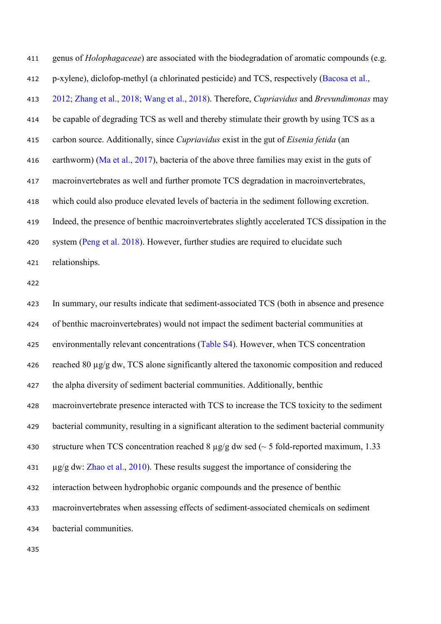| 411 | genus of <i>Holophagaceae</i> ) are associated with the biodegradation of aromatic compounds (e.g. |
|-----|----------------------------------------------------------------------------------------------------|
| 412 | p-xylene), diclofop-methyl (a chlorinated pesticide) and TCS, respectively (Bacosa et al.,         |
| 413 | 2012; Zhang et al., 2018; Wang et al., 2018). Therefore, Cupriavidus and Brevundimonas may         |
| 414 | be capable of degrading TCS as well and thereby stimulate their growth by using TCS as a           |
| 415 | carbon source. Additionally, since Cupriavidus exist in the gut of Eisenia fetida (an              |
| 416 | earthworm) (Ma et al., 2017), bacteria of the above three families may exist in the guts of        |
| 417 | macroinvertebrates as well and further promote TCS degradation in macroinvertebrates,              |
| 418 | which could also produce elevated levels of bacteria in the sediment following excretion.          |
| 419 | Indeed, the presence of benthic macroinvertebrates slightly accelerated TCS dissipation in the     |
| 420 | system (Peng et al. 2018). However, further studies are required to elucidate such                 |
| 421 | relationships.                                                                                     |
| 422 |                                                                                                    |
| 423 | In summary, our results indicate that sediment-associated TCS (both in absence and presence        |
| 424 | of benthic macroinvertebrates) would not impact the sediment bacterial communities at              |
| 425 | environmentally relevant concentrations (Table S4). However, when TCS concentration                |
| 426 | reached 80 µg/g dw, TCS alone significantly altered the taxonomic composition and reduced          |
| 427 | the alpha diversity of sediment bacterial communities. Additionally, benthic                       |
| 428 | macroinvertebrate presence interacted with TCS to increase the TCS toxicity to the sediment        |
| 429 | bacterial community, resulting in a significant alteration to the sediment bacterial community     |
| 430 | structure when TCS concentration reached 8 $\mu$ g/g dw sed (~ 5 fold-reported maximum, 1.33       |
| 431 | $\mu$ g/g dw: Zhao et al., 2010). These results suggest the importance of considering the          |
| 432 | interaction between hydrophobic organic compounds and the presence of benthic                      |
| 433 | macroinvertebrates when assessing effects of sediment-associated chemicals on sediment             |
| 434 | bacterial communities.                                                                             |
|     |                                                                                                    |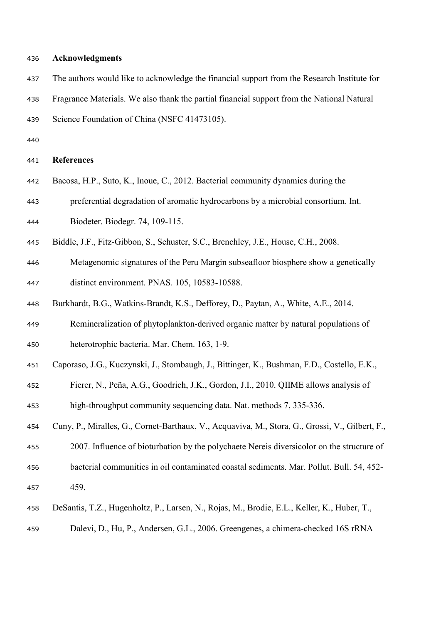#### **Acknowledgments**

- The authors would like to acknowledge the financial support from the Research Institute for
- Fragrance Materials. We also thank the partial financial support from the National Natural
- Science Foundation of China (NSFC 41473105).
- 

#### **References**

- Bacosa, H.P., Suto, K., Inoue, C., 2012. Bacterial community dynamics during the preferential degradation of aromatic hydrocarbons by a microbial consortium. Int.
- Biodeter. Biodegr. 74, 109-115.
- Biddle, J.F., Fitz-Gibbon, S., Schuster, S.C., Brenchley, J.E., House, C.H., 2008.
- Metagenomic signatures of the Peru Margin subseafloor biosphere show a genetically distinct environment. PNAS. 105, 10583-10588.
- Burkhardt, B.G., Watkins-Brandt, K.S., Defforey, D., Paytan, A., White, A.E., 2014.
- Remineralization of phytoplankton-derived organic matter by natural populations of heterotrophic bacteria. Mar. Chem. 163, 1-9.
- Caporaso, J.G., Kuczynski, J., Stombaugh, J., Bittinger, K., Bushman, F.D., Costello, E.K.,
- Fierer, N., Peña, A.G., Goodrich, J.K., Gordon, J.I., 2010. QIIME allows analysis of
- high-throughput community sequencing data. Nat. methods 7, 335-336.
- Cuny, P., Miralles, G., Cornet-Barthaux, V., Acquaviva, M., Stora, G., Grossi, V., Gilbert, F.,
- 2007. Influence of bioturbation by the polychaete Nereis diversicolor on the structure of
- bacterial communities in oil contaminated coastal sediments. Mar. Pollut. Bull. 54, 452- 459.
- DeSantis, T.Z., Hugenholtz, P., Larsen, N., Rojas, M., Brodie, E.L., Keller, K., Huber, T.,
- Dalevi, D., Hu, P., Andersen, G.L., 2006. Greengenes, a chimera-checked 16S rRNA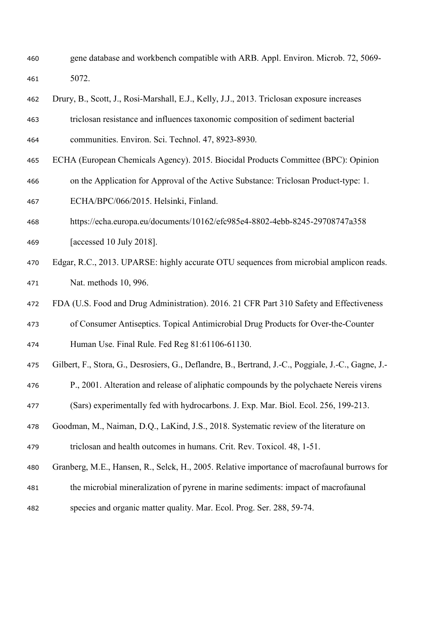- gene database and workbench compatible with ARB. Appl. Environ. Microb. 72, 5069- 5072.
- Drury, B., Scott, J., Rosi-Marshall, E.J., Kelly, J.J., 2013. Triclosan exposure increases
- triclosan resistance and influences taxonomic composition of sediment bacterial communities. Environ. Sci. Technol. 47, 8923-8930.
- ECHA (European Chemicals Agency). 2015. Biocidal Products Committee (BPC): Opinion
- on the Application for Approval of the Active Substance: Triclosan Product-type: 1.

ECHA/BPC/066/2015. Helsinki, Finland.

- https://echa.europa.eu/documents/10162/efc985e4-8802-4ebb-8245-29708747a358
- [accessed 10 July 2018].
- Edgar, R.C., 2013. UPARSE: highly accurate OTU sequences from microbial amplicon reads. Nat. methods 10, 996.
- FDA (U.S. Food and Drug Administration). 2016. 21 CFR Part 310 Safety and Effectiveness
- of Consumer Antiseptics. Topical Antimicrobial Drug Products for Over-the-Counter
- Human Use. Final Rule. Fed Reg 81:61106-61130.
- Gilbert, F., Stora, G., Desrosiers, G., Deflandre, B., Bertrand, J.-C., Poggiale, J.-C., Gagne, J.-
- P., 2001. Alteration and release of aliphatic compounds by the polychaete Nereis virens
- (Sars) experimentally fed with hydrocarbons. J. Exp. Mar. Biol. Ecol. 256, 199-213.
- Goodman, M., Naiman, D.Q., LaKind, J.S., 2018. Systematic review of the literature on

triclosan and health outcomes in humans. Crit. Rev. Toxicol. 48, 1-51.

- Granberg, M.E., Hansen, R., Selck, H., 2005. Relative importance of macrofaunal burrows for
- the microbial mineralization of pyrene in marine sediments: impact of macrofaunal
- species and organic matter quality. Mar. Ecol. Prog. Ser. 288, 59-74.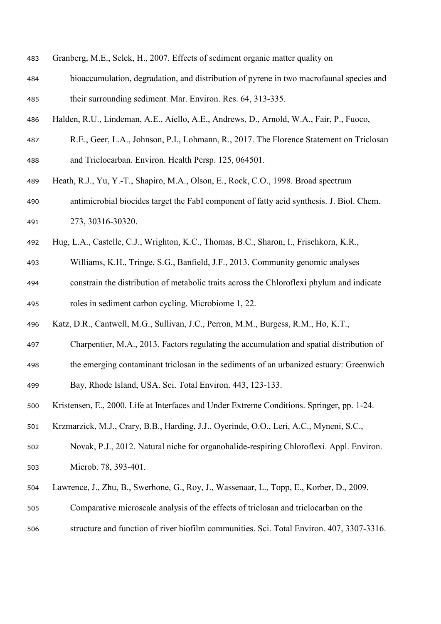| 483 |  |  |  | Granberg, M.E., Selck, H., 2007. Effects of sediment organic matter quality on |
|-----|--|--|--|--------------------------------------------------------------------------------|
|     |  |  |  |                                                                                |

- bioaccumulation, degradation, and distribution of pyrene in two macrofaunal species and their surrounding sediment. Mar. Environ. Res. 64, 313-335.
- Halden, R.U., Lindeman, A.E., Aiello, A.E., Andrews, D., Arnold, W.A., Fair, P., Fuoco,
- R.E., Geer, L.A., Johnson, P.I., Lohmann, R., 2017. The Florence Statement on Triclosan and Triclocarban. Environ. Health Persp. 125, 064501.
- Heath, R.J., Yu, Y.-T., Shapiro, M.A., Olson, E., Rock, C.O., 1998. Broad spectrum antimicrobial biocides target the FabI component of fatty acid synthesis. J. Biol. Chem. 273, 30316-30320.
- Hug, L.A., Castelle, C.J., Wrighton, K.C., Thomas, B.C., Sharon, I., Frischkorn, K.R.,
- Williams, K.H., Tringe, S.G., Banfield, J.F., 2013. Community genomic analyses
- constrain the distribution of metabolic traits across the Chloroflexi phylum and indicate roles in sediment carbon cycling. Microbiome 1, 22.
- Katz, D.R., Cantwell, M.G., Sullivan, J.C., Perron, M.M., Burgess, R.M., Ho, K.T.,
- Charpentier, M.A., 2013. Factors regulating the accumulation and spatial distribution of
- the emerging contaminant triclosan in the sediments of an urbanized estuary: Greenwich
- Bay, Rhode Island, USA. Sci. Total Environ. 443, 123-133.
- Kristensen, E., 2000. Life at Interfaces and Under Extreme Conditions. Springer, pp. 1-24.
- Krzmarzick, M.J., Crary, B.B., Harding, J.J., Oyerinde, O.O., Leri, A.C., Myneni, S.C.,
- Novak, P.J., 2012. Natural niche for organohalide-respiring Chloroflexi. Appl. Environ. Microb. 78, 393-401.
- Lawrence, J., Zhu, B., Swerhone, G., Roy, J., Wassenaar, L., Topp, E., Korber, D., 2009.
- Comparative microscale analysis of the effects of triclosan and triclocarban on the
- structure and function of river biofilm communities. Sci. Total Environ. 407, 3307-3316.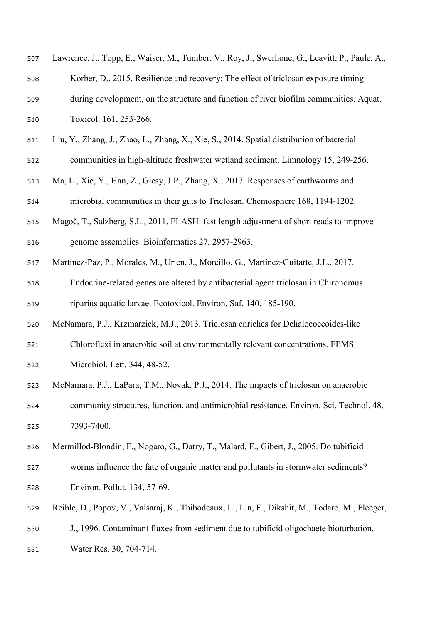| 507 | Lawrence, J., Topp, E., Waiser, M., Tumber, V., Roy, J., Swerhone, G., Leavitt, P., Paule, A.,  |
|-----|-------------------------------------------------------------------------------------------------|
| 508 | Korber, D., 2015. Resilience and recovery: The effect of triclosan exposure timing              |
| 509 | during development, on the structure and function of river biofilm communities. Aquat.          |
| 510 | Toxicol. 161, 253-266.                                                                          |
| 511 | Liu, Y., Zhang, J., Zhao, L., Zhang, X., Xie, S., 2014. Spatial distribution of bacterial       |
| 512 | communities in high-altitude freshwater wetland sediment. Limnology 15, 249-256.                |
| 513 | Ma, L., Xie, Y., Han, Z., Giesy, J.P., Zhang, X., 2017. Responses of earthworms and             |
| 514 | microbial communities in their guts to Triclosan. Chemosphere 168, 1194-1202.                   |
| 515 | Magoč, T., Salzberg, S.L., 2011. FLASH: fast length adjustment of short reads to improve        |
| 516 | genome assemblies. Bioinformatics 27, 2957-2963.                                                |
| 517 | Martínez-Paz, P., Morales, M., Urien, J., Morcillo, G., Martínez-Guitarte, J.L., 2017.          |
| 518 | Endocrine-related genes are altered by antibacterial agent triclosan in Chironomus              |
| 519 | riparius aquatic larvae. Ecotoxicol. Environ. Saf. 140, 185-190.                                |
| 520 | McNamara, P.J., Krzmarzick, M.J., 2013. Triclosan enriches for Dehalococcoides-like             |
| 521 | Chloroflexi in anaerobic soil at environmentally relevant concentrations. FEMS                  |
| 522 | Microbiol. Lett. 344, 48-52.                                                                    |
| 523 | McNamara, P.J., LaPara, T.M., Novak, P.J., 2014. The impacts of triclosan on anaerobic          |
| 524 | community structures, function, and antimicrobial resistance. Environ. Sci. Technol. 48,        |
| 525 | 7393-7400.                                                                                      |
| 526 | Mermillod-Blondin, F., Nogaro, G., Datry, T., Malard, F., Gibert, J., 2005. Do tubificid        |
| 527 | worms influence the fate of organic matter and pollutants in stormwater sediments?              |
| 528 | Environ. Pollut. 134, 57-69.                                                                    |
| 529 | Reible, D., Popov, V., Valsaraj, K., Thibodeaux, L., Lin, F., Dikshit, M., Todaro, M., Fleeger, |
| 530 | J., 1996. Contaminant fluxes from sediment due to tubificid oligochaete bioturbation.           |
| 531 | Water Res. 30, 704-714.                                                                         |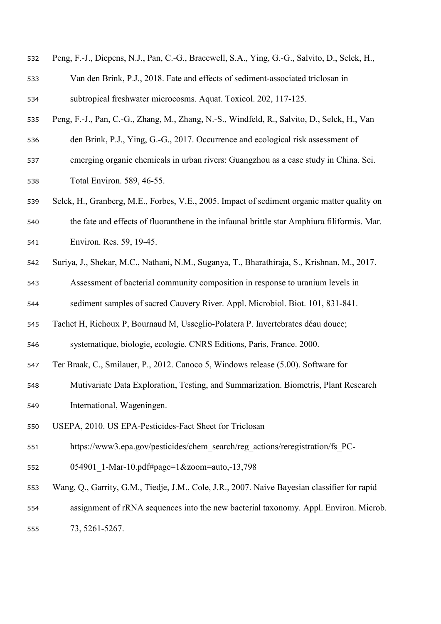| 532 | Peng, F.-J., Diepens, N.J., Pan, C.-G., Bracewell, S.A., Ying, G.-G., Salvito, D., Selck, H., |
|-----|-----------------------------------------------------------------------------------------------|
| 533 | Van den Brink, P.J., 2018. Fate and effects of sediment-associated triclosan in               |
| 534 | subtropical freshwater microcosms. Aquat. Toxicol. 202, 117-125.                              |
| 535 | Peng, F.-J., Pan, C.-G., Zhang, M., Zhang, N.-S., Windfeld, R., Salvito, D., Selck, H., Van   |
| 536 | den Brink, P.J., Ying, G.-G., 2017. Occurrence and ecological risk assessment of              |
| 537 | emerging organic chemicals in urban rivers: Guangzhou as a case study in China. Sci.          |
| 538 | Total Environ. 589, 46-55.                                                                    |
| 539 | Selck, H., Granberg, M.E., Forbes, V.E., 2005. Impact of sediment organic matter quality on   |
| 540 | the fate and effects of fluoranthene in the infaunal brittle star Amphiura filiformis. Mar.   |
| 541 | Environ. Res. 59, 19-45.                                                                      |
| 542 | Suriya, J., Shekar, M.C., Nathani, N.M., Suganya, T., Bharathiraja, S., Krishnan, M., 2017.   |
| 543 | Assessment of bacterial community composition in response to uranium levels in                |
| 544 | sediment samples of sacred Cauvery River. Appl. Microbiol. Biot. 101, 831-841.                |
| 545 | Tachet H, Richoux P, Bournaud M, Usseglio-Polatera P. Invertebrates déau douce;               |
| 546 | systematique, biologie, ecologie. CNRS Editions, Paris, France. 2000.                         |
| 547 | Ter Braak, C., Smilauer, P., 2012. Canoco 5, Windows release (5.00). Software for             |
| 548 | Mutivariate Data Exploration, Testing, and Summarization. Biometris, Plant Research           |
| 549 | International, Wageningen.                                                                    |
| 550 | USEPA, 2010. US EPA-Pesticides-Fact Sheet for Triclosan                                       |
| 551 | https://www3.epa.gov/pesticides/chem search/reg actions/reregistration/fs PC-                 |
| 552 | 054901 1-Mar-10.pdf#page=1&zoom=auto,-13,798                                                  |
| 553 | Wang, Q., Garrity, G.M., Tiedje, J.M., Cole, J.R., 2007. Naive Bayesian classifier for rapid  |
| 554 | assignment of rRNA sequences into the new bacterial taxonomy. Appl. Environ. Microb.          |
| 555 | 73, 5261-5267.                                                                                |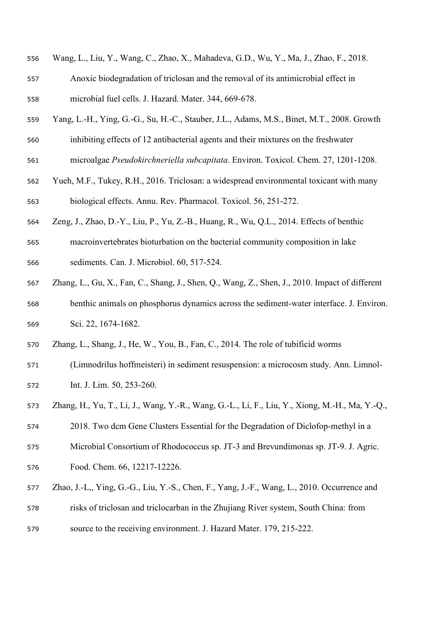- Wang, L., Liu, Y., Wang, C., Zhao, X., Mahadeva, G.D., Wu, Y., Ma, J., Zhao, F., 2018.
- Anoxic biodegradation of triclosan and the removal of its antimicrobial effect in microbial fuel cells. J. Hazard. Mater. 344, 669-678.
- Yang, L.-H., Ying, G.-G., Su, H.-C., Stauber, J.L., Adams, M.S., Binet, M.T., 2008. Growth
- inhibiting effects of 12 antibacterial agents and their mixtures on the freshwater
- microalgae *Pseudokirchneriella subcapitata*. Environ. Toxicol. Chem. 27, 1201-1208.
- Yueh, M.F., Tukey, R.H., 2016. Triclosan: a widespread environmental toxicant with many biological effects. Annu. Rev. Pharmacol. Toxicol. 56, 251-272.
- Zeng, J., Zhao, D.-Y., Liu, P., Yu, Z.-B., Huang, R., Wu, Q.L., 2014. Effects of benthic
- macroinvertebrates bioturbation on the bacterial community composition in lake sediments. Can. J. Microbiol. 60, 517-524.
- Zhang, L., Gu, X., Fan, C., Shang, J., Shen, Q., Wang, Z., Shen, J., 2010. Impact of different benthic animals on phosphorus dynamics across the sediment-water interface. J. Environ. Sci. 22, 1674-1682.
- Zhang, L., Shang, J., He, W., You, B., Fan, C., 2014. The role of tubificid worms
- (Limnodrilus hoffmeisteri) in sediment resuspension: a microcosm study. Ann. Limnol-Int. J. Lim. 50, 253-260.
- Zhang, H., Yu, T., Li, J., Wang, Y.-R., Wang, G.-L., Li, F., Liu, Y., Xiong, M.-H., Ma, Y.-Q.,
- 2018. Two dcm Gene Clusters Essential for the Degradation of Diclofop-methyl in a
- Microbial Consortium of Rhodococcus sp. JT-3 and Brevundimonas sp. JT-9. J. Agric.
- Food. Chem. 66, 12217-12226.
- Zhao, J.-L,, Ying, G.-G., Liu, Y.-S., Chen, F., Yang, J.-F., Wang, L., 2010. Occurrence and
- risks of triclosan and triclocarban in the Zhujiang River system, South China: from
- source to the receiving environment. J. Hazard Mater. 179, 215-222.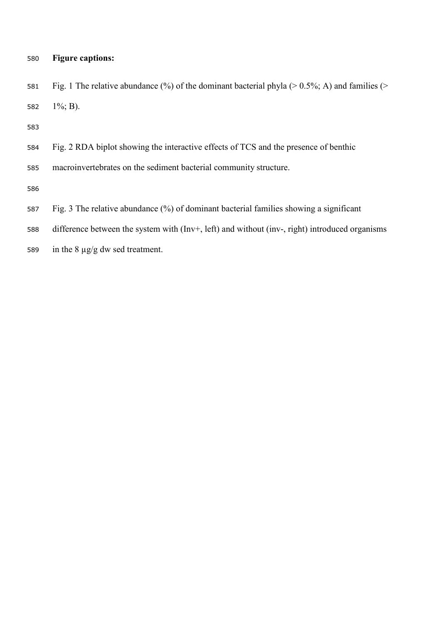# **Figure captions:**

 Fig. 1 The relative abundance (%) of the dominant bacterial phyla (> 0.5%; A) and families (> 1%; B).

macroinvertebrates on the sediment bacterial community structure.

- Fig. 3 The relative abundance (%) of dominant bacterial families showing a significant
- difference between the system with (Inv+, left) and without (inv-, right) introduced organisms
- in the 8 µg/g dw sed treatment.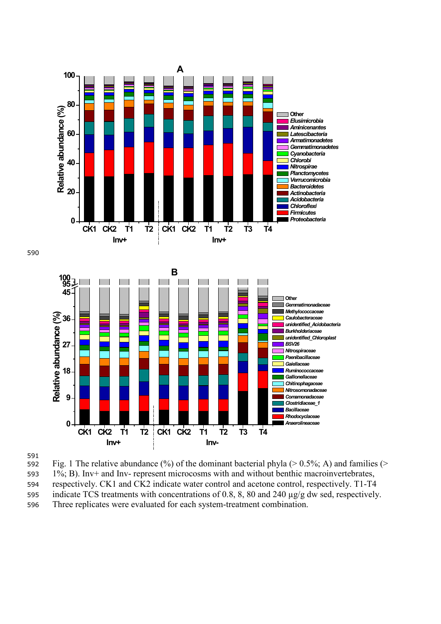



592 Fig. 1 The relative abundance  $(\%)$  of the dominant bacterial phyla (> 0.5%; A) and families (> 593 1%; B). Inv+ and Inv- represent microcosms with and without benthic macroinvertebrates, 594 respectively. CK1 and CK2 indicate water control and acetone control, respectively. T1-T4 595 indicate TCS treatments with concentrations of 0.8, 8, 80 and 240 µg/g dw sed, respectively.

596 Three replicates were evaluated for each system-treatment combination.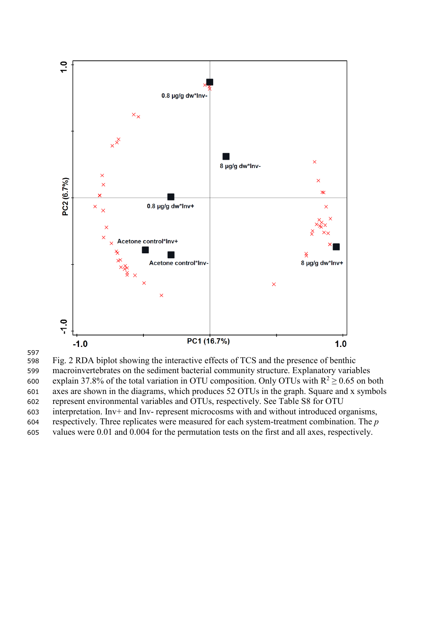

 Fig. 2 RDA biplot showing the interactive effects of TCS and the presence of benthic macroinvertebrates on the sediment bacterial community structure. Explanatory variables 600 explain 37.8% of the total variation in OTU composition. Only OTUs with  $R^2 \ge 0.65$  on both axes are shown in the diagrams, which produces 52 OTUs in the graph. Square and x symbols represent environmental variables and OTUs, respectively. See Table S8 for OTU interpretation. Inv+ and Inv- represent microcosms with and without introduced organisms, respectively. Three replicates were measured for each system-treatment combination. The *p* values were 0.01 and 0.004 for the permutation tests on the first and all axes, respectively.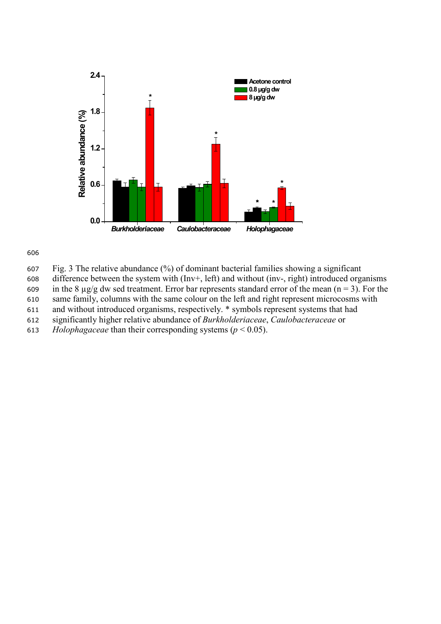

606

- 607 Fig. 3 The relative abundance (%) of dominant bacterial families showing a significant
- 608 difference between the system with (Inv+, left) and without (inv-, right) introduced organisms
- 609 in the 8  $\mu$ g/g dw sed treatment. Error bar represents standard error of the mean (n = 3). For the
- 610 same family, columns with the same colour on the left and right represent microcosms with
- 611 and without introduced organisms, respectively. \* symbols represent systems that had
- 612 significantly higher relative abundance of *Burkholderiaceae*, *Caulobacteraceae* or
- 613 *Holophagaceae* than their corresponding systems ( $p < 0.05$ ).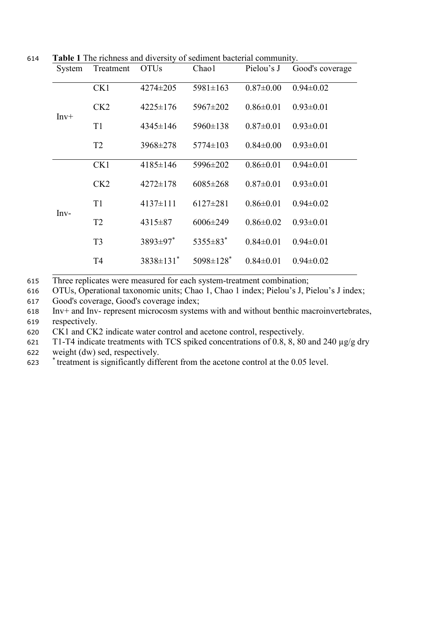614 **Table 1** The richness and diversity of sediment bacterial community.

| Treatment<br>System |                | <b>OTUs</b>      | Chao1                       | Pielou's J      | Good's coverage |
|---------------------|----------------|------------------|-----------------------------|-----------------|-----------------|
|                     | CK1            | $4274 \pm 205$   | $5981 \pm 163$              | $0.87 \pm 0.00$ | $0.94 \pm 0.02$ |
| $Inv+$              | CK2            | $4225 \pm 176$   | 5967±202                    | $0.86 \pm 0.01$ | $0.93 \pm 0.01$ |
|                     | T <sub>1</sub> | $4345 \pm 146$   | 5960±138                    | $0.87 \pm 0.01$ | $0.93 \pm 0.01$ |
|                     | T <sub>2</sub> | 3968±278         | $5774 \pm 103$              | $0.84 \pm 0.00$ | $0.93 \pm 0.01$ |
|                     | CK1            | 4185±146         | 5996±202                    | $0.86 \pm 0.01$ | $0.94 \pm 0.01$ |
|                     | CK2            | $4272 \pm 178$   | $6085 \pm 268$              | $0.87 \pm 0.01$ | $0.93 \pm 0.01$ |
| $Inv-$              | T1             | $4137 \pm 111$   | $6127 \pm 281$              | $0.86 \pm 0.01$ | $0.94 \pm 0.02$ |
|                     | T <sub>2</sub> | 4315 ± 87        | $6006 \pm 249$              | $0.86 \pm 0.02$ | $0.93 \pm 0.01$ |
|                     | T <sub>3</sub> | $3893 \pm 97$ *  | $5355\pm83$ <sup>*</sup>    | $0.84 \pm 0.01$ | $0.94 \pm 0.01$ |
|                     | T <sub>4</sub> | $3838 \pm 131$ * | $5098 \pm 128$ <sup>*</sup> | $0.84 \pm 0.01$ | $0.94 \pm 0.02$ |

615 Three replicates were measured for each system-treatment combination;

616 OTUs, Operational taxonomic units; Chao 1, Chao 1 index; Pielou's J, Pielou's J index;

617 Good's coverage, Good's coverage index;

618 Inv+ and Inv- represent microcosm systems with and without benthic macroinvertebrates, 619 respectively.

620 CK1 and CK2 indicate water control and acetone control, respectively.

621 T1-T4 indicate treatments with TCS spiked concentrations of 0.8, 8, 80 and 240 µg/g dry

622 weight (dw) sed, respectively.

<sup>\*</sup> treatment is significantly different from the acetone control at the 0.05 level.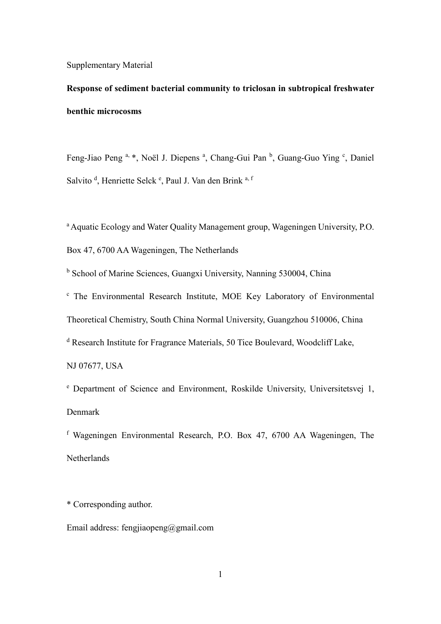Supplementary Material

**Response of sediment bacterial community to triclosan in subtropical freshwater benthic microcosms** 

Feng-Jiao Peng<sup>a, \*</sup>, Noël J. Diepens<sup>a</sup>, Chang-Gui Pan<sup>b</sup>, Guang-Guo Ying<sup>c</sup>, Daniel Salvito<sup>d</sup>, Henriette Selck<sup>e</sup>, Paul J. Van den Brink<sup>a, f</sup>

a Aquatic Ecology and Water Quality Management group, Wageningen University, P.O. Box 47, 6700 AA Wageningen, The Netherlands

<sup>b</sup> School of Marine Sciences, Guangxi University, Nanning 530004, China

<sup>c</sup> The Environmental Research Institute, MOE Key Laboratory of Environmental Theoretical Chemistry, South China Normal University, Guangzhou 510006, China

<sup>d</sup> Research Institute for Fragrance Materials, 50 Tice Boulevard, Woodcliff Lake,

NJ 07677, USA

<sup>e</sup> Department of Science and Environment, Roskilde University, Universitetsvej 1, Denmark

<sup>f</sup> Wageningen Environmental Research, P.O. Box 47, 6700 AA Wageningen, The Netherlands

\* Corresponding author.

Email address: [fengjiaopeng@gmail.com](mailto:fengjiaopeng@gmail.com)

1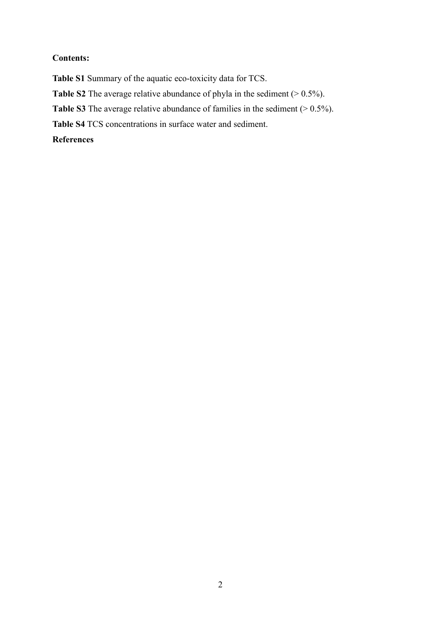## **Contents:**

**Table S1** Summary of the aquatic eco-toxicity data for TCS.

**Table S2** The average relative abundance of phyla in the sediment (> 0.5%).

**Table S3** The average relative abundance of families in the sediment  $(> 0.5\%)$ .

**Table S4** TCS concentrations in surface water and sediment.

## **References**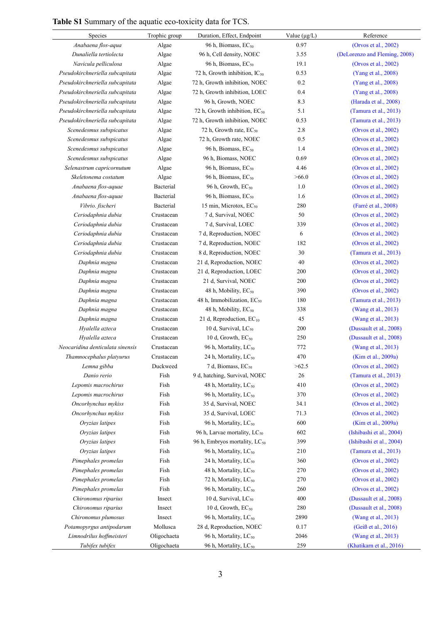# **Table S1** Summary of the aquatic eco-toxicity data for TCS.

| Species                          | Trophic group | Duration, Effect, Endpoint                | Value $(\mu g/L)$ | Reference                     |
|----------------------------------|---------------|-------------------------------------------|-------------------|-------------------------------|
| Anabaena flos-aqua               | Algae         | 96 h, Biomass, EC <sub>50</sub>           | 0.97              | (Orvos et al., 2002)          |
| Dunaliella tertiolecta           | Algae         | 96 h, Cell density, NOEC                  | 3.55              | (DeLorenzo and Fleming, 2008) |
| Navicula pelliculosa             | Algae         | 96 h, Biomass, EC <sub>50</sub>           | 19.1              | (Orvos et al., 2002)          |
| Pseudokirchneriella subcapitata  | Algae         | 72 h, Growth inhibition, IC <sub>50</sub> | 0.53              | (Yang et al., 2008)           |
| Pseudokirchneriella subcapitata  | Algae         | 72 h, Growth inhibition, NOEC             | 0.2               | (Yang et al., 2008)           |
| Pseudokirchneriella subcapitata  | Algae         | 72 h, Growth inhibition, LOEC             | 0.4               | (Yang et al., 2008)           |
| Pseudokirchneriella subcapitata  | Algae         | 96 h, Growth, NOEC                        | 8.3               | (Harada et al., 2008)         |
| Pseudokirchneriella subcapitata  | Algae         | 72 h, Growth inhibition, EC <sub>50</sub> | 5.1               | (Tamura et al., 2013)         |
| Pseudokirchneriella subcapitata  | Algae         | 72 h, Growth inhibition, NOEC             | 0.53              | (Tamura et al., 2013)         |
| Scenedesmus subspicatus          | Algae         | 72 h, Growth rate, EC <sub>50</sub>       | 2.8               | (Orvos et al., 2002)          |
| Scenedesmus subspicatus          | Algae         | 72 h, Growth rate, NOEC                   | 0.5               | (Orvos et al., 2002)          |
| Scenedesmus subspicatus          | Algae         | 96 h, Biomass, EC <sub>50</sub>           | 1.4               | (Orvos et al., 2002)          |
| Scenedesmus subspicatus          | Algae         | 96 h, Biomass, NOEC                       | 0.69              | (Orvos et al., 2002)          |
| Selenastrum capricornutum        | Algae         | 96 h, Biomass, EC <sub>50</sub>           | 4.46              | (Orvos et al., 2002)          |
| Skeletonema costatum             | Algae         | 96 h, Biomass, EC <sub>50</sub>           | >66.0             | (Orvos et al., 2002)          |
| Anabaena flos-aquae              | Bacterial     | 96 h, Growth, EC <sub>50</sub>            | 1.0               | (Orvos et al., 2002)          |
| Anabaena flos-aquae              | Bacterial     | 96 h, Biomass, EC <sub>50</sub>           | 1.6               | (Orvos et al., 2002)          |
| Vibrio. fischeri                 | Bacterial     | 15 min, Microtox, EC <sub>50</sub>        | 280               | (Farré et al., 2008)          |
| Ceriodaphnia dubia               | Crustacean    | 7 d, Survival, NOEC                       | 50                | (Orvos et al., 2002)          |
| Ceriodaphnia dubia               | Crustacean    | 7 d, Survival, LOEC                       | 339               | (Orvos et al., 2002)          |
| Ceriodaphnia dubia               | Crustacean    | 7 d, Reproduction, NOEC                   | 6                 | (Orvos et al., 2002)          |
| Ceriodaphnia dubia               | Crustacean    | 7 d, Reproduction, NOEC                   | 182               | (Orvos et al., 2002)          |
| Ceriodaphnia dubia               | Crustacean    | 8 d, Reproduction, NOEC                   | 30                | (Tamura et al., 2013)         |
| Daphnia magna                    | Crustacean    | 21 d, Reproduction, NOEC                  | 40                | (Orvos et al., 2002)          |
| Daphnia magna                    | Crustacean    | 21 d, Reproduction, LOEC                  | 200               | (Orvos et al., 2002)          |
| Daphnia magna                    | Crustacean    | 21 d, Survival, NOEC                      | 200               | (Orvos et al., 2002)          |
| Daphnia magna                    | Crustacean    | 48 h, Mobility, EC <sub>50</sub>          | 390               | (Orvos et al., 2002)          |
| Daphnia magna                    | Crustacean    | 48 h, Immobilization, EC <sub>50</sub>    | 180               | (Tamura et al., 2013)         |
| Daphnia magna                    | Crustacean    | 48 h, Mobility, EC <sub>50</sub>          | 338               | (Wang et al., 2013)           |
| Daphnia magna                    | Crustacean    | 21 d, Reproduction, EC <sub>10</sub>      | 45                | (Wang et al., 2013)           |
| Hyalella azteca                  | Crustacean    | 10 d, Survival, LC <sub>50</sub>          | 200               | (Dussault et al., 2008)       |
| Hyalella azteca                  | Crustacean    | 10 d, Growth, $EC_{50}$                   | 250               | (Dussault et al., 2008)       |
| Neocaridina denticulata sinensis | Crustacean    | 96 h, Mortality, LC <sub>50</sub>         | 772               | (Wang et al., 2013)           |
| Thamnocephalus platyurus         | Crustacean    | 24 h, Mortality, LC <sub>50</sub>         | 470               | (Kim et al., 2009a)           |
| Lemna gibba                      | Duckweed      | 7 d, Biomass, EC <sub>50</sub>            | >62.5             | (Orvos et al., 2002)          |
| Danio rerio                      | Fish          | 9 d, hatching, Survival, NOEC             | $26\,$            | (Tamura et al., 2013)         |
| Lepomis macrochirus              | Fish          | 48 h, Mortality, LC <sub>50</sub>         | 410               | (Orvos et al., 2002)          |
| Lepomis macrochirus              | Fish          | 96 h, Mortality, LC <sub>50</sub>         | 370               | (Orvos et al., 2002)          |
| Oncorhynchus mykiss              | Fish          | 35 d, Survival, NOEC                      | 34.1              | (Orvos et al., 2002)          |
| Oncorhynchus mykiss              | Fish          | 35 d, Survival, LOEC                      | 71.3              | (Orvos et al., 2002)          |
| Oryzias latipes                  | Fish          | 96 h, Mortality, LC <sub>50</sub>         | 600               | (Kim et al., 2009a)           |
| Oryzias latipes                  | Fish          | 96 h, Larvae mortality, LC <sub>50</sub>  | 602               | (Ishibashi et al., 2004)      |
| Oryzias latipes                  | Fish          | 96 h, Embryos mortality, LC <sub>50</sub> | 399               | (Ishibashi et al., 2004)      |
| Oryzias latipes                  | Fish          | 96 h, Mortality, LC <sub>50</sub>         | 210               | (Tamura et al., 2013)         |
| Pimephales promelas              | Fish          | 24 h, Mortality, LC <sub>50</sub>         | 360               | (Orvos et al., 2002)          |
| Pimephales promelas              | Fish          | 48 h, Mortality, LC <sub>50</sub>         | 270               | (Orvos et al., 2002)          |
| Pimephales promelas              | Fish          | 72 h, Mortality, $LC_{50}$                | 270               | (Orvos et al., 2002)          |
| Pimephales promelas              | Fish          | 96 h, Mortality, LC <sub>50</sub>         | 260               | (Orvos et al., 2002)          |
| Chironomus riparius              | Insect        | 10 d, Survival, $LC_{50}$                 | 400               | (Dussault et al., 2008)       |
| Chironomus riparius              | Insect        | 10 d, Growth, $EC_{50}$                   | 280               | (Dussault et al., 2008)       |
| Chironomus plumosus              | Insect        | 96 h, Mortality, LC <sub>50</sub>         | 2890              | (Wang et al., 2013)           |
| Potamopyrgus antipodarum         | Mollusca      | 28 d, Reproduction, NOEC                  | 0.17              | (Geiß et al., 2016)           |
| Limnodrilus hoffmeisteri         | Oligochaeta   | 96 h, Mortality, LC <sub>50</sub>         | 2046              | (Wang et al., 2013)           |
| Tubifex tubifex                  | Oligochaeta   | 96 h, Mortality, LC <sub>50</sub>         | 259               | (Khatikarn et al., 2016)      |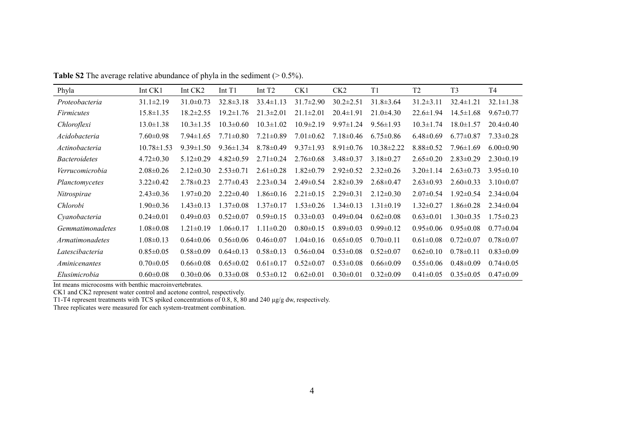| Phyla                   | Int CK1          | Int CK <sub>2</sub> | Int $T1$        | Int T <sub>2</sub> | CK1             | CK <sub>2</sub> | T1              | T <sub>2</sub>  | T <sub>3</sub>  | T4              |
|-------------------------|------------------|---------------------|-----------------|--------------------|-----------------|-----------------|-----------------|-----------------|-----------------|-----------------|
| Proteobacteria          | $31.1 \pm 2.19$  | $31.0 \pm 0.73$     | $32.8 \pm 3.18$ | $33.4 \pm 1.13$    | $31.7 \pm 2.90$ | $30.2 \pm 2.51$ | $31.8 \pm 3.64$ | $31.2 \pm 3.11$ | $32.4 \pm 1.21$ | $32.1 \pm 1.38$ |
| <i>Firmicutes</i>       | 15.8±1.35        | $18.2 \pm 2.55$     | $19.2 \pm 1.76$ | $21.3 \pm 2.01$    | $21.1 \pm 2.01$ | $20.4 \pm 1.91$ | $21.0\pm4.30$   | $22.6 \pm 1.94$ | $14.5 \pm 1.68$ | $9.67 \pm 0.77$ |
| Chloroflexi             | $13.0 \pm 1.38$  | $10.3 \pm 1.35$     | $10.3 \pm 0.60$ | $10.3 \pm 1.02$    | $10.9 \pm 2.19$ | $9.97 \pm 1.24$ | $9.56 \pm 1.93$ | $10.3 \pm 1.74$ | $18.0 \pm 1.57$ | $20.4 \pm 0.40$ |
| Acidobacteria           | $7.60 \pm 0.98$  | $7.94 \pm 1.65$     | $7.71 \pm 0.80$ | $7.21 \pm 0.89$    | $7.01 \pm 0.62$ | $7.18 \pm 0.46$ | $6.75 \pm 0.86$ | $6.48 \pm 0.69$ | $6.77 \pm 0.87$ | $7.33 \pm 0.28$ |
| Actinobacteria          | $10.78 \pm 1.53$ | $9.39 \pm 1.50$     | $9.36 \pm 1.34$ | $8.78 \pm 0.49$    | $9.37 \pm 1.93$ | $8.91 \pm 0.76$ | 10.38±2.22      | $8.88 \pm 0.52$ | $7.96 \pm 1.69$ | $6.00 \pm 0.90$ |
| <i>Bacteroidetes</i>    | $4.72 \pm 0.30$  | $5.12 \pm 0.29$     | $4.82 \pm 0.59$ | $2.71 \pm 0.24$    | $2.76 \pm 0.68$ | $3.48 \pm 0.37$ | $3.18 \pm 0.27$ | $2.65 \pm 0.20$ | $2.83 \pm 0.29$ | $2.30\pm0.19$   |
| Verrucomicrobia         | $2.08 \pm 0.26$  | $2.12\pm0.30$       | $2.53 \pm 0.71$ | $2.61 \pm 0.28$    | $1.82 \pm 0.79$ | $2.92 \pm 0.52$ | $2.32 \pm 0.26$ | $3.20 \pm 1.14$ | $2.63 \pm 0.73$ | $3.95 \pm 0.10$ |
| Planctomycetes          | $3.22 \pm 0.42$  | $2.78 \pm 0.23$     | $2.77 \pm 0.43$ | $2.23 \pm 0.34$    | $2.49 \pm 0.54$ | $2.82 \pm 0.39$ | $2.68 \pm 0.47$ | $2.63 \pm 0.93$ | $2.60 \pm 0.33$ | $3.10\pm0.07$   |
| Nitrospirae             | $2.43 \pm 0.36$  | $1.97 \pm 0.20$     | $2.22 \pm 0.40$ | $1.86 \pm 0.16$    | $2.21 \pm 0.15$ | $2.29 \pm 0.31$ | $2.12 \pm 0.30$ | $2.07 \pm 0.54$ | $1.92 \pm 0.54$ | $2.34 \pm 0.04$ |
| Chlorobi                | $1.90 \pm 0.36$  | $1.43 \pm 0.13$     | $1.37 \pm 0.08$ | $1.37 \pm 0.17$    | $1.53 \pm 0.26$ | $1.34 \pm 0.13$ | $1.31 \pm 0.19$ | $1.32 \pm 0.27$ | $1.86 \pm 0.28$ | $2.34 \pm 0.04$ |
| Cyanobacteria           | $0.24 \pm 0.01$  | $0.49 \pm 0.03$     | $0.52 \pm 0.07$ | $0.59 \pm 0.15$    | $0.33 \pm 0.03$ | $0.49 \pm 0.04$ | $0.62 \pm 0.08$ | $0.63 \pm 0.01$ | $1.30 \pm 0.35$ | $1.75 \pm 0.23$ |
| <i>Gemmatimonadetes</i> | $1.08 \pm 0.08$  | $1.21 \pm 0.19$     | $1.06 \pm 0.17$ | $1.11 \pm 0.20$    | $0.80 \pm 0.15$ | $0.89 \pm 0.03$ | $0.99 \pm 0.12$ | $0.95 \pm 0.06$ | $0.95 \pm 0.08$ | $0.77 \pm 0.04$ |
| Armatimonadetes         | $1.08 \pm 0.13$  | $0.64 \pm 0.06$     | $0.56 \pm 0.06$ | $0.46 \pm 0.07$    | $1.04 \pm 0.16$ | $0.65 \pm 0.05$ | $0.70 \pm 0.11$ | $0.61 \pm 0.08$ | $0.72 \pm 0.07$ | $0.78 \pm 0.07$ |
| Latescibacteria         | $0.85 \pm 0.05$  | $0.58 \pm 0.09$     | $0.64 \pm 0.13$ | $0.58 \pm 0.13$    | $0.56 \pm 0.04$ | $0.53 \pm 0.08$ | $0.52 \pm 0.07$ | $0.62 \pm 0.10$ | $0.78 \pm 0.11$ | $0.83 \pm 0.09$ |
| Aminicenantes           | $0.70 \pm 0.05$  | $0.66 \pm 0.08$     | $0.65 \pm 0.02$ | $0.61 \pm 0.17$    | $0.52 \pm 0.07$ | $0.53 \pm 0.08$ | $0.66 \pm 0.09$ | $0.55 \pm 0.06$ | $0.48 \pm 0.09$ | $0.74 \pm 0.05$ |
| Elusimicrobia           | $0.60 \pm 0.08$  | $0.30 \pm 0.06$     | $0.33 \pm 0.08$ | $0.53 \pm 0.12$    | $0.62 \pm 0.01$ | $0.30 \pm 0.01$ | $0.32 \pm 0.09$ | $0.41 \pm 0.05$ | $0.35 \pm 0.05$ | $0.47 \pm 0.09$ |

**Table S2** The average relative abundance of phyla in the sediment  $(> 0.5\%)$ .

Int means microcosms with benthic macroinvertebrates.

CK1 and CK2 represent water control and acetone control, respectively.

T1-T4 represent treatments with TCS spiked concentrations of 0.8, 8, 80 and 240 µg/g dw, respectively.

Three replicates were measured for each system-treatment combination.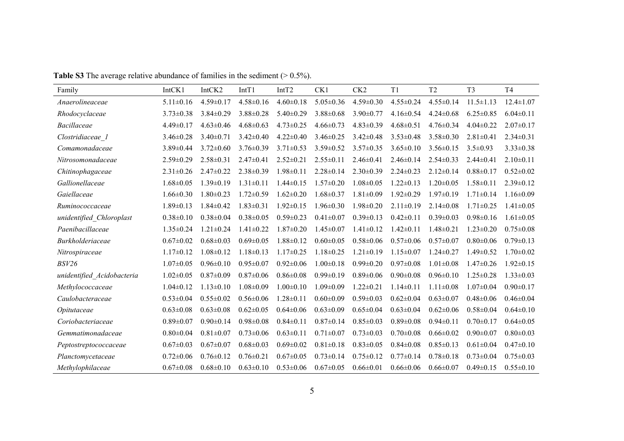| Family                     | IntCK1          | IntCK2          | IntT1           | IntT <sub>2</sub> | CK1             | CK <sub>2</sub> | T1              | T <sub>2</sub>  | T <sub>3</sub>  | T <sub>4</sub>  |
|----------------------------|-----------------|-----------------|-----------------|-------------------|-----------------|-----------------|-----------------|-----------------|-----------------|-----------------|
| Anaerolineaceae            | $5.11 \pm 0.16$ | $4.59 \pm 0.17$ | $4.58 \pm 0.16$ | $4.60 \pm 0.18$   | $5.05 \pm 0.36$ | $4.59 \pm 0.30$ | $4.55 \pm 0.24$ | $4.55 \pm 0.14$ | $11.5 \pm 1.13$ | $12.4 \pm 1.07$ |
| Rhodocyclaceae             | $3.73 \pm 0.38$ | $3.84 \pm 0.29$ | $3.88 \pm 0.28$ | $5.40 \pm 0.29$   | $3.88 \pm 0.68$ | $3.90 \pm 0.77$ | $4.16 \pm 0.54$ | $4.24 \pm 0.68$ | $6.25 \pm 0.85$ | $6.04 \pm 0.11$ |
| <b>Bacillaceae</b>         | $4.49 \pm 0.17$ | $4.63 \pm 0.46$ | $4.68 \pm 0.63$ | $4.73 \pm 0.25$   | $4.66 \pm 0.73$ | $4.83 \pm 0.39$ | $4.68 \pm 0.51$ | $4.76 \pm 0.34$ | $4.04 \pm 0.22$ | $2.07 \pm 0.17$ |
| Clostridiaceae 1           | $3.46 \pm 0.28$ | $3.40 \pm 0.71$ | $3.42 \pm 0.40$ | $4.22 \pm 0.40$   | $3.46 \pm 0.25$ | $3.42 \pm 0.48$ | $3.53 \pm 0.48$ | $3.58 \pm 0.30$ | $2.81 \pm 0.41$ | $2.34 \pm 0.31$ |
| Comamonadaceae             | $3.89 \pm 0.44$ | $3.72 \pm 0.60$ | $3.76 \pm 0.39$ | $3.71 \pm 0.53$   | $3.59 \pm 0.52$ | $3.57 \pm 0.35$ | $3.65 \pm 0.10$ | $3.56 \pm 0.15$ | $3.5 \pm 0.93$  | $3.33 \pm 0.38$ |
| Nitrosomonadaceae          | $2.59 \pm 0.29$ | $2.58 \pm 0.31$ | $2.47 \pm 0.41$ | $2.52 \pm 0.21$   | $2.55 \pm 0.11$ | $2.46 \pm 0.41$ | $2.46 \pm 0.14$ | $2.54 \pm 0.33$ | $2.44 \pm 0.41$ | $2.10\pm0.11$   |
| Chitinophagaceae           | $2.31 \pm 0.26$ | $2.47 \pm 0.22$ | $2.38 \pm 0.39$ | $1.98 \pm 0.11$   | $2.28 \pm 0.14$ | $2.30 \pm 0.39$ | $2.24 \pm 0.23$ | $2.12 \pm 0.14$ | $0.88 \pm 0.17$ | $0.52 \pm 0.02$ |
| Gallionellaceae            | $1.68 \pm 0.05$ | $1.39 \pm 0.19$ | $1.31 \pm 0.11$ | $1.44 \pm 0.15$   | $1.57 \pm 0.20$ | $1.08 \pm 0.05$ | $1.22 \pm 0.13$ | $1.20 \pm 0.05$ | $1.58 \pm 0.11$ | $2.39 \pm 0.12$ |
| Gaiellaceae                | $1.66 \pm 0.30$ | $1.80 \pm 0.23$ | $1.72 \pm 0.59$ | $1.62 \pm 0.20$   | $1.68 \pm 0.37$ | $1.81 \pm 0.09$ | $1.92 \pm 0.29$ | $1.97 \pm 0.19$ | $1.71 \pm 0.14$ | $1.16 \pm 0.09$ |
| Ruminococcaceae            | $1.89 \pm 0.13$ | $1.84 \pm 0.42$ | $1.83 \pm 0.31$ | $1.92 \pm 0.15$   | $1.96 \pm 0.30$ | $1.98 \pm 0.20$ | $2.11 \pm 0.19$ | $2.14 \pm 0.08$ | $1.71 \pm 0.25$ | $1.41 \pm 0.05$ |
| unidentified Chloroplast   | $0.38 \pm 0.10$ | $0.38 \pm 0.04$ | $0.38 \pm 0.05$ | $0.59 \pm 0.23$   | $0.41 \pm 0.07$ | $0.39 \pm 0.13$ | $0.42 \pm 0.11$ | $0.39 \pm 0.03$ | $0.98 \pm 0.16$ | $1.61 \pm 0.05$ |
| Paenibacillaceae           | $1.35 \pm 0.24$ | $1.21 \pm 0.24$ | $1.41 \pm 0.22$ | $1.87 \pm 0.20$   | $1.45 \pm 0.07$ | $1.41 \pm 0.12$ | $1.42 \pm 0.11$ | $1.48 \pm 0.21$ | $1.23 \pm 0.20$ | $0.75 \pm 0.08$ |
| <b>Burkholderiaceae</b>    | $0.67 \pm 0.02$ | $0.68 \pm 0.03$ | $0.69 \pm 0.05$ | $1.88 \pm 0.12$   | $0.60 \pm 0.05$ | $0.58 \pm 0.06$ | $0.57 \pm 0.06$ | $0.57 \pm 0.07$ | $0.80 \pm 0.06$ | $0.79 \pm 0.13$ |
| Nitrospiraceae             | $1.17 \pm 0.12$ | $1.08 \pm 0.12$ | $1.18 \pm 0.13$ | $1.17 \pm 0.25$   | $1.18 \pm 0.25$ | $1.21 \pm 0.19$ | $1.15 \pm 0.07$ | $1.24 \pm 0.27$ | $1.49 \pm 0.52$ | $1.70 \pm 0.02$ |
| BSV26                      | $1.07 \pm 0.05$ | $0.96 \pm 0.10$ | $0.95 \pm 0.07$ | $0.92 \pm 0.06$   | $1.00 \pm 0.18$ | $0.99 \pm 0.20$ | $0.97 \pm 0.08$ | $1.01 \pm 0.08$ | $1.47 \pm 0.26$ | $1.92 \pm 0.15$ |
| unidentified Acidobacteria | $1.02 \pm 0.05$ | $0.87 \pm 0.09$ | $0.87 \pm 0.06$ | $0.86 \pm 0.08$   | $0.99 \pm 0.19$ | $0.89 \pm 0.06$ | $0.90 \pm 0.08$ | $0.96 \pm 0.10$ | $1.25 \pm 0.28$ | $1.33 \pm 0.03$ |
| Methylococcaceae           | $1.04 \pm 0.12$ | $1.13 \pm 0.10$ | $1.08 \pm 0.09$ | $1.00 \pm 0.10$   | $1.09 \pm 0.09$ | $1.22 \pm 0.21$ | $1.14 \pm 0.11$ | $1.11 \pm 0.08$ | $1.07 \pm 0.04$ | $0.90 \pm 0.17$ |
| Caulobacteraceae           | $0.53 \pm 0.04$ | $0.55 \pm 0.02$ | $0.56 \pm 0.06$ | $1.28 \pm 0.11$   | $0.60 \pm 0.09$ | $0.59 \pm 0.03$ | $0.62 \pm 0.04$ | $0.63 \pm 0.07$ | $0.48 \pm 0.06$ | $0.46 \pm 0.04$ |
| Opitutaceae                | $0.63 \pm 0.08$ | $0.63 \pm 0.08$ | $0.62 \pm 0.05$ | $0.64 \pm 0.06$   | $0.63 \pm 0.09$ | $0.65 \pm 0.04$ | $0.63 \pm 0.04$ | $0.62 \pm 0.06$ | $0.58 \pm 0.04$ | $0.64 \pm 0.10$ |
| Coriobacteriaceae          | $0.89 \pm 0.07$ | $0.90 \pm 0.14$ | $0.98 \pm 0.08$ | $0.84 \pm 0.11$   | $0.87 \pm 0.14$ | $0.85 \pm 0.03$ | $0.89 \pm 0.08$ | $0.94 \pm 0.11$ | $0.70 \pm 0.17$ | $0.64 \pm 0.05$ |
| Gemmatimonadaceae          | $0.80 \pm 0.04$ | $0.81 \pm 0.07$ | $0.73 \pm 0.06$ | $0.63 \pm 0.11$   | $0.71 \pm 0.07$ | $0.73 \pm 0.03$ | $0.70 \pm 0.08$ | $0.66 \pm 0.02$ | $0.90 \pm 0.07$ | $0.80 \pm 0.03$ |
| Peptostreptococcaceae      | $0.67 \pm 0.03$ | $0.67 \pm 0.07$ | $0.68 \pm 0.03$ | $0.69 \pm 0.02$   | $0.81 \pm 0.18$ | $0.83 \pm 0.05$ | $0.84 \pm 0.08$ | $0.85 \pm 0.13$ | $0.61 \pm 0.04$ | $0.47 \pm 0.10$ |
| Planctomycetaceae          | $0.72 \pm 0.06$ | $0.76 \pm 0.12$ | $0.76 \pm 0.21$ | $0.67 \pm 0.05$   | $0.73 \pm 0.14$ | $0.75 \pm 0.12$ | $0.77 \pm 0.14$ | $0.78 \pm 0.18$ | $0.73 \pm 0.04$ | $0.75 \pm 0.03$ |
| Methylophilaceae           | $0.67 \pm 0.08$ | $0.68 \pm 0.10$ | $0.63 \pm 0.10$ | $0.53 \pm 0.06$   | $0.67 \pm 0.05$ | $0.66 \pm 0.01$ | $0.66 \pm 0.06$ | $0.66 \pm 0.07$ | $0.49 \pm 0.15$ | $0.55 \pm 0.10$ |

**Table S3** The average relative abundance of families in the sediment (> 0.5%).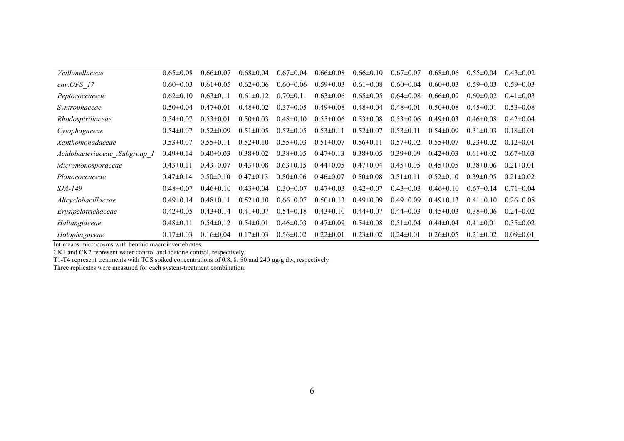| Veillonellaceae               | $0.65 \pm 0.08$ | $0.66 \pm 0.07$ | $0.68 \pm 0.04$ | $0.67 \pm 0.04$ | $0.66 \pm 0.08$ | $0.66 \pm 0.10$ | $0.67 \pm 0.07$ | $0.68 \pm 0.06$ | $0.55 \pm 0.04$ | $0.43 \pm 0.02$ |
|-------------------------------|-----------------|-----------------|-----------------|-----------------|-----------------|-----------------|-----------------|-----------------|-----------------|-----------------|
| env.OPS 17                    | $0.60 \pm 0.03$ | $0.61 \pm 0.05$ | $0.62 \pm 0.06$ | $0.60 \pm 0.06$ | $0.59 \pm 0.03$ | $0.61 \pm 0.08$ | $0.60 \pm 0.04$ | $0.60 \pm 0.03$ | $0.59 \pm 0.03$ | $0.59 \pm 0.03$ |
| Peptococcaceae                | $0.62\pm0.10$   | $0.63 \pm 0.11$ | $0.61 \pm 0.12$ | $0.70 \pm 0.11$ | $0.63 \pm 0.06$ | $0.65 \pm 0.05$ | $0.64 \pm 0.08$ | $0.66 \pm 0.09$ | $0.60 \pm 0.02$ | $0.41 \pm 0.03$ |
| Syntrophaceae                 | $0.50 \pm 0.04$ | $0.47\pm0.01$   | $0.48 \pm 0.02$ | $0.37 \pm 0.05$ | $0.49 \pm 0.08$ | $0.48 \pm 0.04$ | $0.48 \pm 0.01$ | $0.50 \pm 0.08$ | $0.45 \pm 0.01$ | $0.53 \pm 0.08$ |
| Rhodospirillaceae             | $0.54 \pm 0.07$ | $0.53 \pm 0.01$ | $0.50 \pm 0.03$ | $0.48\pm0.10$   | $0.55 \pm 0.06$ | $0.53 \pm 0.08$ | $0.53 \pm 0.06$ | $0.49 \pm 0.03$ | $0.46 \pm 0.08$ | $0.42\pm0.04$   |
| Cytophagaceae                 | $0.54 \pm 0.07$ | $0.52 \pm 0.09$ | $0.51 \pm 0.05$ | $0.52 \pm 0.05$ | $0.53 \pm 0.11$ | $0.52 \pm 0.07$ | $0.53 \pm 0.11$ | $0.54 \pm 0.09$ | $0.31 \pm 0.03$ | $0.18 \pm 0.01$ |
| Xanthomonadaceae              | $0.53 \pm 0.07$ | $0.55 \pm 0.11$ | $0.52\pm0.10$   | $0.55 \pm 0.03$ | $0.51 \pm 0.07$ | $0.56 \pm 0.11$ | $0.57 \pm 0.02$ | $0.55 \pm 0.07$ | $0.23 \pm 0.02$ | $0.12 \pm 0.01$ |
| Acidobacteriaceae .Subgroup 1 | $0.49 \pm 0.14$ | $0.40 \pm 0.03$ | $0.38 \pm 0.02$ | $0.38 \pm 0.05$ | $0.47\pm0.13$   | $0.38 \pm 0.05$ | $0.39 \pm 0.09$ | $0.42\pm0.03$   | $0.61 \pm 0.02$ | $0.67 \pm 0.03$ |
| Micromonosporaceae            | $0.43 \pm 0.11$ | $0.43 \pm 0.07$ | $0.43 \pm 0.08$ | $0.63 \pm 0.15$ | $0.44\pm0.05$   | $0.47\pm0.04$   | $0.45 \pm 0.05$ | $0.45 \pm 0.05$ | $0.38 \pm 0.06$ | $0.21 \pm 0.01$ |
| Planococcaceae                | $0.47 \pm 0.14$ | $0.50 \pm 0.10$ | $0.47\pm0.13$   | $0.50 \pm 0.06$ | $0.46 \pm 0.07$ | $0.50 \pm 0.08$ | $0.51 \pm 0.11$ | $0.52\pm0.10$   | $0.39 \pm 0.05$ | $0.21 \pm 0.02$ |
| <i>SJA-149</i>                | $0.48 \pm 0.07$ | $0.46 \pm 0.10$ | $0.43 \pm 0.04$ | $0.30 \pm 0.07$ | $0.47 \pm 0.03$ | $0.42 \pm 0.07$ | $0.43 \pm 0.03$ | $0.46 \pm 0.10$ | $0.67 \pm 0.14$ | $0.71 \pm 0.04$ |
| Alicyclobacillaceae           | $0.49 \pm 0.14$ | $0.48 \pm 0.11$ | $0.52 \pm 0.10$ | $0.66 \pm 0.07$ | $0.50 \pm 0.13$ | $0.49 \pm 0.09$ | $0.49 \pm 0.09$ | $0.49 \pm 0.13$ | $0.41 \pm 0.10$ | $0.26 \pm 0.08$ |
| Erysipelotrichaceae           | $0.42 \pm 0.05$ | $0.43\pm0.14$   | $0.41 \pm 0.07$ | $0.54\pm0.18$   | $0.43 \pm 0.10$ | $0.44 \pm 0.07$ | $0.44 \pm 0.03$ | $0.45 \pm 0.03$ | $0.38 \pm 0.06$ | $0.24 \pm 0.02$ |
| Haliangiaceae                 | $0.48 \pm 0.11$ | $0.54 \pm 0.12$ | $0.54 \pm 0.01$ | $0.46 \pm 0.03$ | $0.47\pm0.09$   | $0.54 \pm 0.08$ | $0.51 \pm 0.04$ | $0.44 \pm 0.04$ | $0.41 \pm 0.01$ | $0.35 \pm 0.02$ |
| Holophagaceae                 | $0.17 \pm 0.03$ | $0.16\pm0.04$   | $0.17 \pm 0.03$ | $0.56 \pm 0.02$ | $0.22 \pm 0.01$ | $0.23 \pm 0.02$ | $0.24 \pm 0.01$ | $0.26 \pm 0.05$ | $0.21 \pm 0.02$ | $0.09 \pm 0.01$ |

Int means microcosms with benthic macroinvertebrates.

CK1 and CK2 represent water control and acetone control, respectively.

T1-T4 represent treatments with TCS spiked concentrations of 0.8, 8, 80 and 240 µg/g dw, respectively.

Three replicates were measured for each system-treatment combination.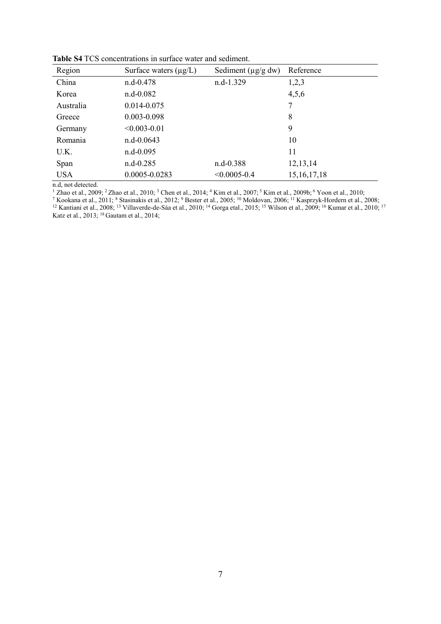| Region     | Surface waters $(\mu g/L)$ | Sediment $(\mu g/g dw)$ | Reference      |
|------------|----------------------------|-------------------------|----------------|
| China      | $n.d-0.478$                | n.d-1.329               | 1,2,3          |
| Korea      | $n.d-0.082$                |                         | 4,5,6          |
| Australia  | 0.014-0.075                |                         | 7              |
| Greece     | $0.003 - 0.098$            |                         | 8              |
| Germany    | $< 0.003 - 0.01$           |                         | 9              |
| Romania    | $n.d-0.0643$               |                         | 10             |
| U.K.       | $n.d-0.095$                |                         | 11             |
| Span       | $n.d-0.285$                | $n.d-0.388$             | 12,13,14       |
| <b>USA</b> | 0.0005-0.0283              | $< 0.0005 - 0.4$        | 15, 16, 17, 18 |

**Table S4** TCS concentrations in surface water and sediment.

n.d, not detected.

<sup>1</sup> Zhao et al., 2009; <sup>2</sup> Zhao et al., 2010; <sup>3</sup> Chen et al., 2014; <sup>4</sup> Kim et al., 2007; <sup>5</sup> Kim et al., 2009b; <sup>6</sup> Yoon et al., 2010;<br><sup>7</sup> Kookana et al., 2011; <sup>8</sup> Stasinakis et al., 2012; <sup>9</sup> Bester et al., 2005; <sup>10</sup> Katz et al., 2013; <sup>18</sup> Gautam et al., 2014;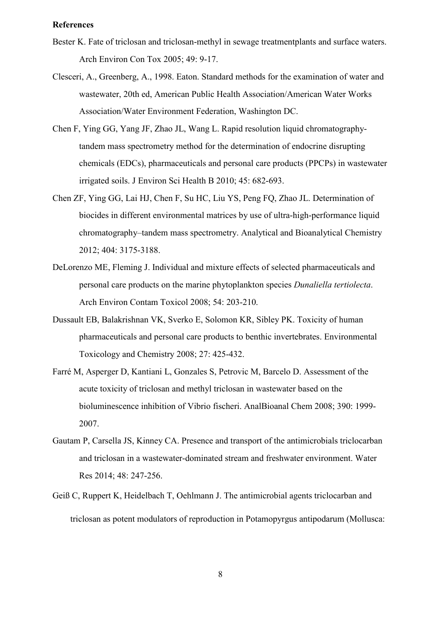#### **References**

- Bester K. Fate of triclosan and triclosan-methyl in sewage treatmentplants and surface waters. Arch Environ Con Tox 2005; 49: 9-17.
- Clesceri, A., Greenberg, A., 1998. Eaton. Standard methods for the examination of water and wastewater, 20th ed, American Public Health Association/American Water Works Association/Water Environment Federation, Washington DC.
- Chen F, Ying GG, Yang JF, Zhao JL, Wang L. Rapid resolution liquid chromatographytandem mass spectrometry method for the determination of endocrine disrupting chemicals (EDCs), pharmaceuticals and personal care products (PPCPs) in wastewater irrigated soils. J Environ Sci Health B 2010; 45: 682-693.
- Chen ZF, Ying GG, Lai HJ, Chen F, Su HC, Liu YS, Peng FQ, Zhao JL. Determination of biocides in different environmental matrices by use of ultra-high-performance liquid chromatography–tandem mass spectrometry. Analytical and Bioanalytical Chemistry 2012; 404: 3175-3188.
- DeLorenzo ME, Fleming J. Individual and mixture effects of selected pharmaceuticals and personal care products on the marine phytoplankton species *Dunaliella tertiolecta*. Arch Environ Contam Toxicol 2008; 54: 203-210.
- Dussault EB, Balakrishnan VK, Sverko E, Solomon KR, Sibley PK. Toxicity of human pharmaceuticals and personal care products to benthic invertebrates. Environmental Toxicology and Chemistry 2008; 27: 425-432.
- Farré M, Asperger D, Kantiani L, Gonzales S, Petrovic M, Barcelo D. Assessment of the acute toxicity of triclosan and methyl triclosan in wastewater based on the bioluminescence inhibition of Vibrio fischeri. AnalBioanal Chem 2008; 390: 1999- 2007.
- Gautam P, Carsella JS, Kinney CA. Presence and transport of the antimicrobials triclocarban and triclosan in a wastewater-dominated stream and freshwater environment. Water Res 2014; 48: 247-256.
- Geiß C, Ruppert K, Heidelbach T, Oehlmann J. The antimicrobial agents triclocarban and triclosan as potent modulators of reproduction in Potamopyrgus antipodarum (Mollusca: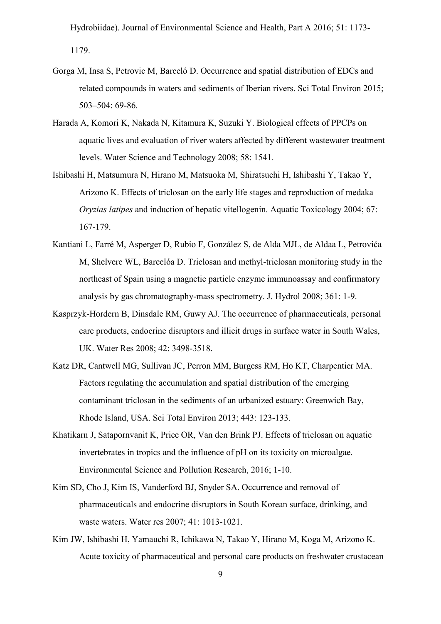Hydrobiidae). Journal of Environmental Science and Health, Part A 2016; 51: 1173- 1179.

- Gorga M, Insa S, Petrovic M, Barceló D. Occurrence and spatial distribution of EDCs and related compounds in waters and sediments of Iberian rivers. Sci Total Environ 2015; 503–504: 69-86.
- Harada A, Komori K, Nakada N, Kitamura K, Suzuki Y. Biological effects of PPCPs on aquatic lives and evaluation of river waters affected by different wastewater treatment levels. Water Science and Technology 2008; 58: 1541.
- Ishibashi H, Matsumura N, Hirano M, Matsuoka M, Shiratsuchi H, Ishibashi Y, Takao Y, Arizono K. Effects of triclosan on the early life stages and reproduction of medaka *Oryzias latipes* and induction of hepatic vitellogenin. Aquatic Toxicology 2004; 67: 167-179.
- Kantiani L, Farré M, Asperger D, Rubio F, González S, de Alda MJL, de Aldaa L, Petrovića M, Shelvere WL, Barcelóa D. Triclosan and methyl-triclosan monitoring study in the northeast of Spain using a magnetic particle enzyme immunoassay and confirmatory analysis by gas chromatography-mass spectrometry. J. Hydrol 2008; 361: 1-9.
- Kasprzyk-Hordern B, Dinsdale RM, Guwy AJ. The occurrence of pharmaceuticals, personal care products, endocrine disruptors and illicit drugs in surface water in South Wales, UK. Water Res 2008; 42: 3498-3518.
- Katz DR, Cantwell MG, Sullivan JC, Perron MM, Burgess RM, Ho KT, Charpentier MA. Factors regulating the accumulation and spatial distribution of the emerging contaminant triclosan in the sediments of an urbanized estuary: Greenwich Bay, Rhode Island, USA. Sci Total Environ 2013; 443: 123-133.
- Khatikarn J, Satapornvanit K, Price OR, Van den Brink PJ. Effects of triclosan on aquatic invertebrates in tropics and the influence of pH on its toxicity on microalgae. Environmental Science and Pollution Research, 2016; 1-10.
- Kim SD, Cho J, Kim IS, Vanderford BJ, Snyder SA. Occurrence and removal of pharmaceuticals and endocrine disruptors in South Korean surface, drinking, and waste waters. Water res 2007; 41: 1013-1021.
- Kim JW, Ishibashi H, Yamauchi R, Ichikawa N, Takao Y, Hirano M, Koga M, Arizono K. Acute toxicity of pharmaceutical and personal care products on freshwater crustacean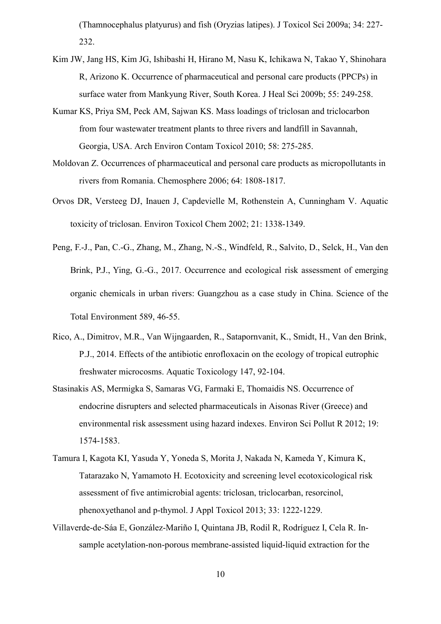(Thamnocephalus platyurus) and fish (Oryzias latipes). J Toxicol Sci 2009a; 34: 227- 232.

- Kim JW, Jang HS, Kim JG, Ishibashi H, Hirano M, Nasu K, Ichikawa N, Takao Y, Shinohara R, Arizono K. Occurrence of pharmaceutical and personal care products (PPCPs) in surface water from Mankyung River, South Korea. J Heal Sci 2009b; 55: 249-258.
- Kumar KS, Priya SM, Peck AM, Sajwan KS. Mass loadings of triclosan and triclocarbon from four wastewater treatment plants to three rivers and landfill in Savannah, Georgia, USA. Arch Environ Contam Toxicol 2010; 58: 275-285.
- Moldovan Z. Occurrences of pharmaceutical and personal care products as micropollutants in rivers from Romania. Chemosphere 2006; 64: 1808-1817.
- Orvos DR, Versteeg DJ, Inauen J, Capdevielle M, Rothenstein A, Cunningham V. Aquatic toxicity of triclosan. Environ Toxicol Chem 2002; 21: 1338-1349.
- Peng, F.-J., Pan, C.-G., Zhang, M., Zhang, N.-S., Windfeld, R., Salvito, D., Selck, H., Van den Brink, P.J., Ying, G.-G., 2017. Occurrence and ecological risk assessment of emerging organic chemicals in urban rivers: Guangzhou as a case study in China. Science of the Total Environment 589, 46-55.
- Rico, A., Dimitrov, M.R., Van Wijngaarden, R., Satapornvanit, K., Smidt, H., Van den Brink, P.J., 2014. Effects of the antibiotic enrofloxacin on the ecology of tropical eutrophic freshwater microcosms. Aquatic Toxicology 147, 92-104.
- Stasinakis AS, Mermigka S, Samaras VG, Farmaki E, Thomaidis NS. Occurrence of endocrine disrupters and selected pharmaceuticals in Aisonas River (Greece) and environmental risk assessment using hazard indexes. Environ Sci Pollut R 2012; 19: 1574-1583.
- Tamura I, Kagota KI, Yasuda Y, Yoneda S, Morita J, Nakada N, Kameda Y, Kimura K, Tatarazako N, Yamamoto H. Ecotoxicity and screening level ecotoxicological risk assessment of five antimicrobial agents: triclosan, triclocarban, resorcinol, phenoxyethanol and p-thymol. J Appl Toxicol 2013; 33: 1222-1229.
- Villaverde-de-Sáa E, González-Mariño I, Quintana JB, Rodil R, Rodríguez I, Cela R. Insample acetylation-non-porous membrane-assisted liquid-liquid extraction for the